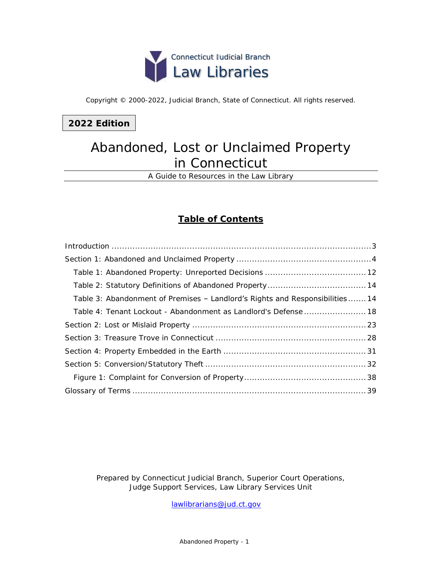

Copyright © 2000-2022, Judicial Branch, State of Connecticut. All rights reserved.

## **2022 Edition**

## Abandoned, Lost or Unclaimed Property in Connecticut

A Guide to Resources in the Law Library

## **Table of Contents**

| Table 3: Abandonment of Premises - Landlord's Rights and Responsibilities 14 |
|------------------------------------------------------------------------------|
|                                                                              |
|                                                                              |
|                                                                              |
|                                                                              |
|                                                                              |
|                                                                              |
|                                                                              |

*Prepared by Connecticut Judicial Branch, Superior Court Operations, Judge Support Services, Law Library Services Unit* 

[lawlibrarians@jud.ct.gov](mailto:lawlibrarians@jud.ct.gov)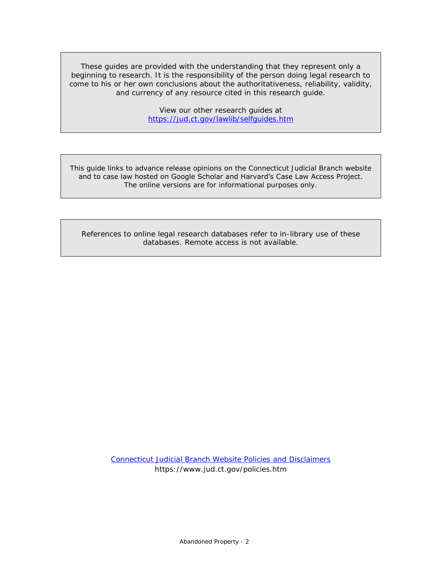These guides are provided with the understanding that they represent only a beginning to research. It is the responsibility of the person doing legal research to come to his or her own conclusions about the authoritativeness, reliability, validity, and currency of any resource cited in this research guide.

> View our other research guides at <https://jud.ct.gov/lawlib/selfguides.htm>

This guide links to advance release opinions on the Connecticut Judicial Branch website and to case law hosted on Google Scholar and Harvard's Case Law Access Project. The online versions are for informational purposes only.

References to online legal research databases refer to in-library use of these databases. Remote access is not available.

> [Connecticut Judicial Branch Website Policies and Disclaimers](https://www.jud.ct.gov/policies.htm) https://www.jud.ct.gov/policies.htm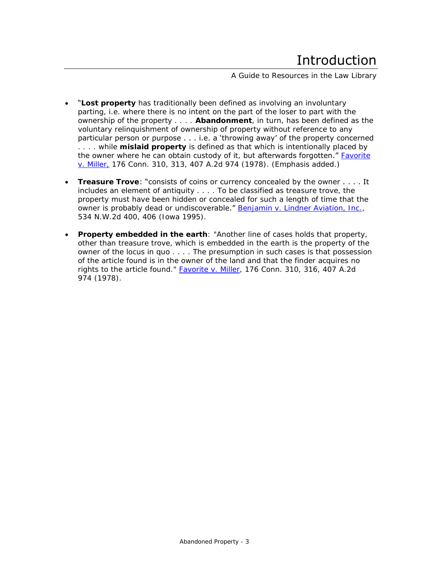A Guide to Resources in the Law Library

- <span id="page-2-0"></span>• "**Lost property** has traditionally been defined as involving an involuntary parting, i.e. where there is no intent on the part of the loser to part with the ownership of the property . . . . **Abandonment**, in turn, has been defined as the voluntary relinquishment of ownership of property without reference to any particular person or purpose . . . i.e. a 'throwing away' of the property concerned . . . . while **mislaid property** is defined as that which is intentionally placed by the owner where he can obtain custody of it, but **afterwards forgotten."** Favorite [v. Miller,](https://scholar.google.com/scholar_case?case=116302456188550079) 176 Conn. 310, 313, 407 A.2d 974 (1978). (Emphasis added.)
- **Treasure Trove**: "consists of coins or currency concealed by the owner . . . . It includes an element of antiquity . . . . To be classified as treasure trove, the property must have been hidden or concealed for such a length of time that the owner is probably dead or undiscoverable." [Benjamin v. Lindner Aviation, Inc.,](https://scholar.google.com/scholar_case?case=9449484260649426626) 534 N.W.2d 400, 406 (Iowa 1995).
- **Property embedded in the earth**: "Another line of cases holds that property, other than treasure trove, which is embedded in the earth is the property of the owner of the locus in quo . . . . The presumption in such cases is that possession of the article found is in the owner of the land and that the finder acquires no rights to the article found." **Favorite v. Miller**, 176 Conn. 310, 316, 407 A.2d 974 (1978).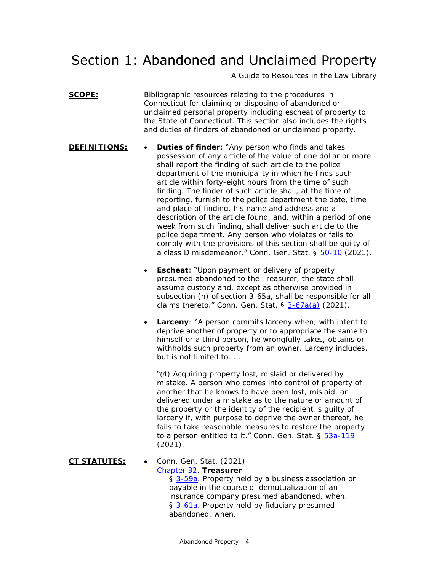# <span id="page-3-0"></span>Section 1: Abandoned and Unclaimed Property

A Guide to Resources in the Law Library

**SCOPE:** Bibliographic resources relating to the procedures in Connecticut for claiming or disposing of abandoned or unclaimed personal property including escheat of property to the State of Connecticut. This section also includes the rights and duties of finders of abandoned or unclaimed property.

- **DEFINITIONS: Duties of finder**: "Any person who finds and takes possession of any article of the value of one dollar or more shall report the finding of such article to the police department of the municipality in which he finds such article within forty-eight hours from the time of such finding. The finder of such article shall, at the time of reporting, furnish to the police department the date, time and place of finding, his name and address and a description of the article found, and, within a period of one week from such finding, shall deliver such article to the police department. Any person who violates or fails to comply with the provisions of this section shall be guilty of a class D misdemeanor." Conn. Gen. Stat. § [50-10](https://www.cga.ct.gov/current/pub/chap_859.htm#sec_50-10) (2021).
	- **Escheat**: "Upon payment or delivery of property presumed abandoned to the Treasurer, the state shall assume custody and, except as otherwise provided in subsection (h) of section 3-65a, shall be responsible for all claims thereto." Conn. Gen. Stat.  $\S$   $3-67a(a)$  (2021).
	- **Larceny**: "A person commits larceny when, with intent to deprive another of property or to appropriate the same to himself or a third person, he wrongfully takes, obtains or withholds such property from an owner. Larceny includes, but is not limited to. . .

"(4) Acquiring property lost, mislaid or delivered by mistake. A person who comes into control of property of another that he knows to have been lost, mislaid, or delivered under a mistake as to the nature or amount of the property or the identity of the recipient is guilty of larceny if, with purpose to deprive the owner thereof, he fails to take reasonable measures to restore the property to a person entitled to it." Conn. Gen. Stat. § [53a-119](https://www.cga.ct.gov/current/pub/chap_952.htm#sec_53a-119) (2021).

**CT STATUTES:** • Conn. Gen. Stat. (2021) [Chapter 32.](https://www.cga.ct.gov/current/pub/chap_032.htm) **Treasurer** § [3-59a.](https://www.cga.ct.gov/current/pub/chap_032.htm#sec_3-59a) Property held by a business association or payable in the course of demutualization of an insurance company presumed abandoned, when. § [3-61a.](https://www.cga.ct.gov/current/pub/chap_032.htm#sec_3-61a) Property held by fiduciary presumed abandoned, when.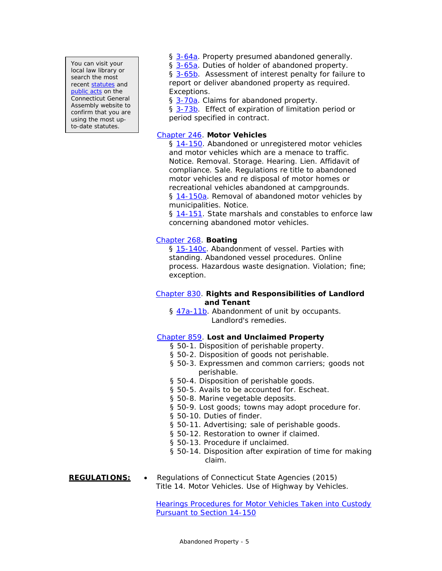You can visit your local law library or search the most recent [statutes](https://search.cga.state.ct.us/r/statute/) and [public acts](https://search.cga.state.ct.us/r/adv/dtsearch_form.asp) on the Connecticut General Assembly website to confirm that you are using the most upto-date statutes.

§ [3-64a.](https://www.cga.ct.gov/current/pub/chap_032.htm#sec_3-64a) Property presumed abandoned generally.

§ [3-65a.](https://www.cga.ct.gov/current/pub/chap_032.htm#sec_3-65a) Duties of holder of abandoned property.

§ [3-65b.](https://www.cga.ct.gov/current/pub/chap_032.htm#sec_3-65b) Assessment of interest penalty for failure to report or deliver abandoned property as required. Exceptions.

§ [3-70a.](https://www.cga.ct.gov/current/pub/chap_032.htm#sec_3-70a) Claims for abandoned property.

§ [3-73b.](https://www.cga.ct.gov/current/pub/chap_032.htm#sec_3-73b) Effect of expiration of limitation period or period specified in contract.

### [Chapter 246.](https://www.cga.ct.gov/current/pub/chap_246.htm) **Motor Vehicles**

§ [14-150.](https://www.cga.ct.gov/current/pub/chap_246.htm#sec_14-150) Abandoned or unregistered motor vehicles and motor vehicles which are a menace to traffic. Notice. Removal. Storage. Hearing. Lien. Affidavit of compliance. Sale. Regulations re title to abandoned motor vehicles and re disposal of motor homes or recreational vehicles abandoned at campgrounds. § [14-150a.](https://www.cga.ct.gov/current/pub/chap_246.htm#sec_14-150a) Removal of abandoned motor vehicles by municipalities. Notice.

§ [14-151.](https://www.cga.ct.gov/current/pub/chap_246.htm#sec_14-151) State marshals and constables to enforce law concerning abandoned motor vehicles.

### [Chapter 268.](https://www.cga.ct.gov/current/pub/chap_268.htm) **Boating**

§ [15-140c.](https://www.cga.ct.gov/current/pub/chap_268.htm#sec_15-140c) Abandonment of vessel. Parties with standing. Abandoned vessel procedures. Online process. Hazardous waste designation. Violation; fine; exception.

### [Chapter 830.](https://www.cga.ct.gov/current/pub/chap_830.htm) **Rights and Responsibilities of Landlord and Tenant**

§ [47a-11b.](https://www.cga.ct.gov/current/pub/chap_830.htm#sec_47a-11b) Abandonment of unit by occupants. Landlord's remedies.

[Chapter 859.](https://www.cga.ct.gov/current/pub/chap_859.htm) **Lost and Unclaimed Property**

- § 50-1. Disposition of perishable property.
- § 50-2. Disposition of goods not perishable.
- § 50-3. Expressmen and common carriers; goods not perishable.
- § 50-4. Disposition of perishable goods.
- § 50-5. Avails to be accounted for. Escheat.
- § 50-8. Marine vegetable deposits.
- § 50-9. Lost goods; towns may adopt procedure for.
- § 50-10. Duties of finder.
- § 50-11. Advertising; sale of perishable goods.
- § 50-12. Restoration to owner if claimed.
- § 50-13. Procedure if unclaimed.
- § 50-14. Disposition after expiration of time for making claim.

### **REGULATIONS:** • Regulations of Connecticut State Agencies (2015) Title 14. Motor Vehicles. Use of Highway by Vehicles.

[Hearings Procedures for Motor Vehicles Taken into Custody](https://eregulations.ct.gov/eRegsPortal/Browse/RCSA/Title_14Subtitle_14-150/)  [Pursuant to Section 14-150](https://eregulations.ct.gov/eRegsPortal/Browse/RCSA/Title_14Subtitle_14-150/)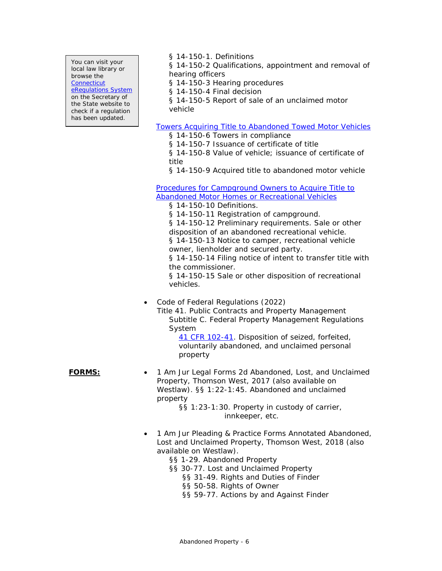You can visit your local law library or browse the **Connecticut** [eRegulations System](https://eregulations.ct.gov/eRegsPortal/) on the Secretary of the State website to check if a regulation has been updated.

§ 14-150-1. Definitions

§ 14-150-2 Qualifications, appointment and removal of hearing officers

§ 14-150-3 Hearing procedures

§ 14-150-4 Final decision

§ 14-150-5 Report of sale of an unclaimed motor vehicle

### [Towers Acquiring Title to Abandoned Towed Motor Vehicles](https://eregulations.ct.gov/eRegsPortal/Browse/RCSA/Title_14Subtitle_14-150/)

- § 14-150-6 Towers in compliance
- § 14-150-7 Issuance of certificate of title
- § 14-150-8 Value of vehicle; issuance of certificate of title
- § 14-150-9 Acquired title to abandoned motor vehicle

[Procedures for Campground Owners to Acquire Title to](https://eregulations.ct.gov/eRegsPortal/Browse/RCSA/Title_14Subtitle_14-150/)  [Abandoned Motor Homes or Recreational Vehicles](https://eregulations.ct.gov/eRegsPortal/Browse/RCSA/Title_14Subtitle_14-150/)

§ 14-150-10 Definitions.

§ 14-150-11 Registration of campground.

§ 14-150-12 Preliminary requirements. Sale or other disposition of an abandoned recreational vehicle.

§ 14-150-13 Notice to camper, recreational vehicle owner, lienholder and secured party.

§ 14-150-14 Filing notice of intent to transfer title with the commissioner.

§ 14-150-15 Sale or other disposition of recreational vehicles.

• Code of Federal Regulations (2022)

Title 41. Public Contracts and Property Management Subtitle C. Federal Property Management Regulations System

> [41 CFR 102-41.](https://www.ecfr.gov/current/title-41/subtitle-C/chapter-102/subchapter-B/part-102-41) Disposition of seized, forfeited, voluntarily abandoned, and unclaimed personal property

**FORMS:** • 1 *Am Jur Legal Forms* 2d Abandoned, Lost, and Unclaimed Property, Thomson West, 2017 (also available on Westlaw). §§ 1:22-1:45. Abandoned and unclaimed property

§§ 1:23-1:30. Property in custody of carrier, innkeeper, etc.

- 1 *Am Jur Pleading & Practice Forms Annotated* Abandoned, Lost and Unclaimed Property, Thomson West, 2018 (also available on Westlaw).
	- §§ 1-29. Abandoned Property
	- §§ 30-77. Lost and Unclaimed Property
		- §§ 31-49. Rights and Duties of Finder
		- §§ 50-58. Rights of Owner
		- §§ 59-77. Actions by and Against Finder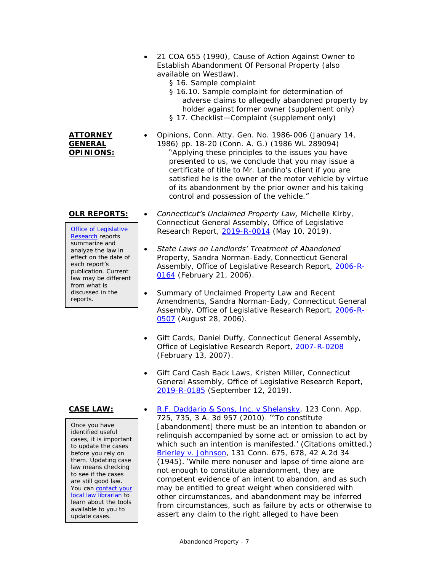- 21 *COA* 655 (1990), Cause of Action Against Owner to Establish Abandonment Of Personal Property (also available on Westlaw).
	- § 16. Sample complaint
	- § 16.10. Sample complaint for determination of adverse claims to allegedly abandoned property by holder against former owner (supplement only)
	- § 17. Checklist-Complaint (supplement only)
	- *Opinions, Conn. Atty. Gen.* No. 1986-006 (January 14, 1986) pp. 18-20 (Conn. A. G.) (1986 WL 289094) "Applying these principles to the issues you have presented to us, we conclude that you may issue a certificate of title to Mr. Landino's client if you are satisfied he is the owner of the motor vehicle by virtue of its abandonment by the prior owner and his taking control and possession of the vehicle."

**ATTORNEY GENERAL OPINIONS:** 

[Office of Legislative](https://www.cga.ct.gov/olr/default.asp)  **[Research](https://www.cga.ct.gov/olr/default.asp)** reports summarize and analyze the law in effect on the date of each report's publication. Current law may be different from what is discussed in the reports.

Once you have identified useful cases, it is important to update the cases before you rely on them. Updating case law means checking to see if the cases are still good law. You can contact your [local law librarian](https://www.jud.ct.gov/lawlib/staff.htm) to learn about the tools available to you to update cases.

- **OLR REPORTS:**  *Connecticut's Unclaimed Property Law,* Michelle Kirby, Connecticut General Assembly, Office of Legislative Research Report, [2019-R-0014](https://www.cga.ct.gov/2019/rpt/pdf/2019-R-0014.pdf) (May 10, 2019).
	- *State Laws on Landlords' Treatment of Abandoned Property*, Sandra Norman-Eady*,* Connecticut General Assembly, Office of Legislative Research Report, [2006-R-](https://www.cga.ct.gov/2006/rpt/2006-r-0164.htm)[0164](https://www.cga.ct.gov/2006/rpt/2006-r-0164.htm) (February 21, 2006).
	- *Summary of Unclaimed Property Law and Recent Amendments*, Sandra Norman-Eady*,* Connecticut General Assembly, Office of Legislative Research Report, [2006-R-](https://www.cga.ct.gov/2006/rpt/2006-r-0507.htm)[0507](https://www.cga.ct.gov/2006/rpt/2006-r-0507.htm) (August 28, 2006).
	- *Gift Cards,* Daniel Duffy, Connecticut General Assembly, Office of Legislative Research Report, [2007-R-0208](https://www.cga.ct.gov/2007/rpt/2007-R-0208.htm) (February 13, 2007).
	- *Gift Card Cash Back Laws*, Kristen Miller*,* Connecticut General Assembly, Office of Legislative Research Report, [2019-R-0185](https://www.cga.ct.gov/2019/rpt/pdf/2019-r-0185.pdf) (September 12, 2019).
- **CASE LAW:**  [R.F. Daddario & Sons, Inc. v Shelansky,](https://scholar.google.com/scholar_case?case=4832203243088856610) 123 Conn. App. 725, 735, 3 A. 3d 957 (2010). "'To constitute [abandonment] there must be an intention to abandon or relinquish accompanied by some act or omission to act by which such an intention is manifested.' (Citations omitted.) *[Brierley](https://cite.case.law/conn/131/675/)* v. *Johnson*, 131 Conn. 675, 678, 42 A.2d 34 (1945). 'While mere nonuser and lapse of time alone are not enough to constitute abandonment, they are competent evidence of an intent to abandon, and as such may be entitled to great weight when considered with other circumstances, and abandonment may be inferred from circumstances, such as failure by acts or otherwise to assert any claim to the right alleged to have been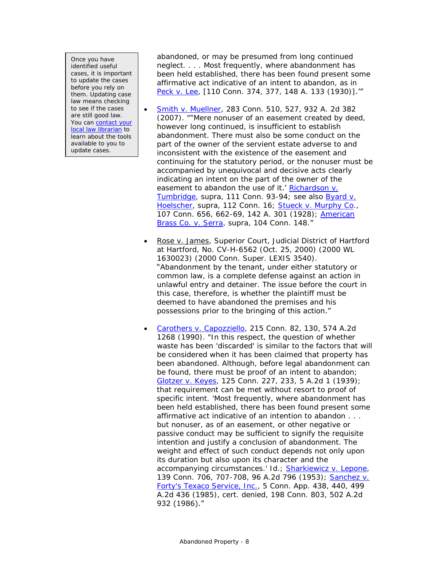Once you have identified useful cases, it is important to update the cases before you rely on them. Updating case law means checking to see if the cases are still good law. You can contact your [local law librarian](https://www.jud.ct.gov/lawlib/staff.htm) to learn about the tools available to you to update cases.

abandoned, or may be presumed from long continued neglect. . . . Most frequently, where abandonment has been held established, there has been found present some affirmative act indicative of an intent to abandon, as in *[Peck](https://cite.case.law/conn/110/374/)* v. *Lee*, [110 Conn. 374, 377, 148 A. 133 (1930)].'"

- [Smith v. Muellner,](http://scholar.google.com/scholar_case?case=11667901892653777783) 283 Conn. 510, 527, 932 A. 2d 382 (2007). ""Mere nonuser of an easement created by deed, however long continued, is insufficient to establish abandonment. There must also be some conduct on the part of the owner of the servient estate adverse to and inconsistent with the existence of the easement and continuing for the statutory period, or the nonuser must be accompanied by unequivocal and decisive acts clearly indicating an intent on the part of the owner of the easement to abandon the use of it.' *[Richardson v.](https://cite.case.law/conn/111/90/)  [Tumbridge](https://cite.case.law/conn/111/90/)*, supra, 111 Conn. 93-94; see also *[Byard v.](https://cite.case.law/conn/112/5/)  [Hoelscher](https://cite.case.law/conn/112/5/)*, supra, 112 Conn. 16; *[Stueck v. Murphy Co.](https://cite.case.law/conn/107/656/)*, 107 Conn. 656, 662-69, 142 A. 301 (1928); *[American](https://cite.case.law/conn/104/139/)  [Brass Co. v. Serra](https://cite.case.law/conn/104/139/)*, supra, 104 Conn. 148."
- Rose v. James, Superior Court, Judicial District of Hartford at Hartford, No. CV-H-6562 (Oct. 25, 2000) (2000 WL 1630023) (2000 Conn. Super. LEXIS 3540). "Abandonment by the tenant, under either statutory or common law, is a complete defense against an action in unlawful entry and detainer. The issue before the court in this case, therefore, is whether the plaintiff must be deemed to have abandoned the premises and his possessions prior to the bringing of this action."
- [Carothers v. Capozziello,](http://scholar.google.com/scholar_case?case=8511828988197316956) 215 Conn. 82, 130, 574 A.2d 1268 (1990). "In this respect, the question of whether waste has been 'discarded' is similar to the factors that will be considered when it has been claimed that property has been abandoned. Although, before legal abandonment can be found, there must be proof of an intent to abandon; *[Glotzer v. Keyes](https://cite.case.law/conn/125/227/)*, 125 Conn. 227, 233, 5 A.2d 1 (1939); that requirement can be met without resort to proof of specific intent. 'Most frequently, where abandonment has been held established, there has been found present some affirmative act indicative of an intention to abandon . . . but nonuser, as of an easement, or other negative or passive conduct may be sufficient to signify the requisite intention and justify a conclusion of abandonment. The weight and effect of such conduct depends not only upon its duration but also upon its character and the accompanying circumstances.' Id.; *[Sharkiewicz v. Lepone](https://scholar.google.com/scholar_case?case=5228715769964730786)*, 139 Conn. 706, 707-708, 96 A.2d 796 (1953); *[Sanchez v.](https://scholar.google.com/scholar_case?case=13344977428769289267)  [Forty's Texaco Service, Inc](https://scholar.google.com/scholar_case?case=13344977428769289267)*., 5 Conn. App. 438, 440, 499 A.2d 436 (1985), cert. denied, 198 Conn. 803, 502 A.2d 932 (1986)."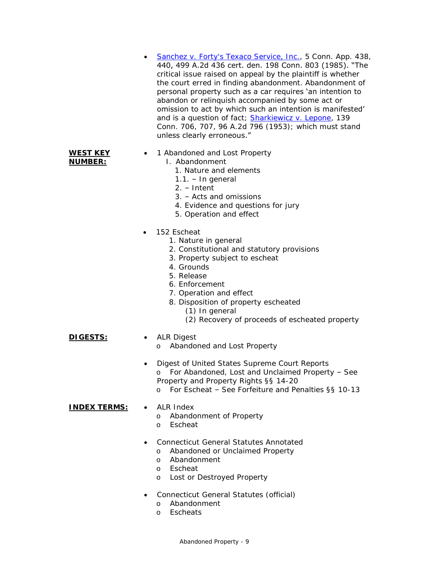- [Sanchez v. Forty's Texaco Service, Inc.,](https://scholar.google.com/scholar_case?case=13344977428769289267) 5 Conn. App. 438, 440, 499 A.2d 436 cert. den. 198 Conn. 803 (1985). "The critical issue raised on appeal by the plaintiff is whether the court erred in finding abandonment. Abandonment of personal property such as a car requires 'an intention to abandon or relinquish accompanied by some act or omission to act by which such an intention is manifested' and is a question of fact*; [Sharkiewicz v. Lepone](https://scholar.google.com/scholar_case?case=5228715769964730786)*, 139 Conn. 706, 707, 96 A.2d 796 (1953); which must stand unless clearly erroneous."
- **WEST KEY NUMBER:**

### 1 Abandoned and Lost Property

- I. Abandonment
	- 1. Nature and elements
	- $1.1. In general$
	- 2. Intent
	- 3. Acts and omissions
	- 4. Evidence and questions for jury
	- 5. Operation and effect
- 152 Escheat
	- 1. Nature in general
	- 2. Constitutional and statutory provisions
	- 3. Property subject to escheat
	- 4. Grounds
	- 5. Release
	- 6. Enforcement
	- 7. Operation and effect
	- 8. Disposition of property escheated
		- (1) In general
		- (2) Recovery of proceeds of escheated property

### **DIGESTS:** • ALR Digest

- - o Abandoned and Lost Property
- Digest of United States Supreme Court Reports o For Abandoned, Lost and Unclaimed Property – See Property and Property Rights §§ 14-20
	- o For Escheat See Forfeiture and Penalties §§ 10-13

### **INDEX TERMS:** • ALR Index

- o Abandonment of Property
- o Escheat
- Connecticut General Statutes Annotated
	- o Abandoned or Unclaimed Property
	- o Abandonment
	- o Escheat
	- o Lost or Destroyed Property
- Connecticut General Statutes (official)
	- o Abandonment
	- o Escheats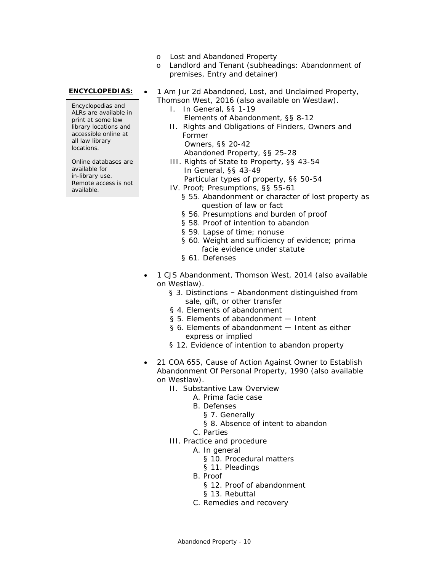- o Lost and Abandoned Property
- o Landlord and Tenant (subheadings: Abandonment of premises, Entry and detainer)

Encyclopedias and ALRs are available in print at some law library locations and accessible online at all law library locations.

Online databases are available for in-library use. Remote access is not available.

- **ENCYCLOPEDIAS:** 1 *Am Jur 2d* Abandoned, Lost, and Unclaimed Property, Thomson West, 2016 (also available on Westlaw).
	- I. In General, §§ 1-19 Elements of Abandonment, §§ 8-12
	- II. Rights and Obligations of Finders, Owners and Former Owners, §§ 20-42
		- Abandoned Property, §§ 25-28
	- III. Rights of State to Property, §§ 43-54 In General, §§ 43-49 Particular types of property, §§ 50-54
		-
	- IV. Proof; Presumptions, §§ 55-61
		- § 55. Abandonment or character of lost property as question of law or fact
		- § 56. Presumptions and burden of proof
		- § 58. Proof of intention to abandon
		- § 59. Lapse of time; nonuse
		- § 60. Weight and sufficiency of evidence; prima facie evidence under statute
		- § 61. Defenses
	- 1 *CJS* Abandonment, Thomson West, 2014 (also available on Westlaw).
		- § 3. Distinctions Abandonment distinguished from sale, gift, or other transfer
		- § 4. Elements of abandonment
		- § 5. Elements of abandonment Intent
		- § 6. Elements of abandonment Intent as either express or implied
		- § 12. Evidence of intention to abandon property
	- 21 *COA* 655, Cause of Action Against Owner to Establish Abandonment Of Personal Property, 1990 (also available on Westlaw).
		- II. Substantive Law Overview
			- A. Prima facie case
			- B. Defenses
				- § 7. Generally
				- § 8. Absence of intent to abandon
			- C. Parties
		- III. Practice and procedure
			- A. In general
				- § 10. Procedural matters
				- § 11. Pleadings
			- B. Proof
				- § 12. Proof of abandonment
				- § 13. Rebuttal
			- C. Remedies and recovery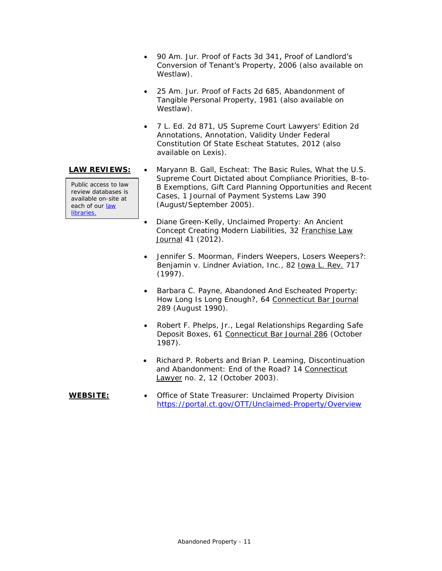- 90 *Am. Jur. Proof of Facts 3d* 341, Proof of Landlord's Conversion of Tenant's Property, 2006 (also available on Westlaw).
- 25 *Am. Jur. Proof of Facts 2d* 685, Abandonment of Tangible Personal Property, 1981 (also available on Westlaw).
- 7 L. Ed. 2d 871, *US Supreme Court Lawyers' Edition 2d Annotations*, Annotation, Validity Under Federal Constitution Of State Escheat Statutes, 2012 (also available on Lexis).

Public access to law review databases is available on-site at each of our [law](https://www.jud.ct.gov/lawlib/staff.htm)  [libraries.](https://www.jud.ct.gov/lawlib/staff.htm)

- **LAW REVIEWS:**  Maryann B. Gall, *Escheat: The Basic Rules, What the U.S. Supreme Court Dictated about Compliance Priorities, B-to-B Exemptions, Gift Card Planning Opportunities and Recent Cases*, 1 Journal of Payment Systems Law 390 (August/September 2005).
	- Diane Green-Kelly*, Unclaimed Property: An Ancient Concept Creating Modern Liabilities*, 32 Franchise Law Journal 41 (2012).
	- Jennifer S. Moorman, *Finders Weepers, Losers Weepers?: Benjamin v. Lindner Aviation, Inc.*, 82 Iowa L. Rev. 717 (1997).
	- Barbara C. Payne, *Abandoned And Escheated Property: How Long Is Long Enough?*, 64 Connecticut Bar Journal 289 (August 1990).
	- Robert F. Phelps, Jr*., Legal Relationships Regarding Safe Deposit Boxes*, 61 Connecticut Bar Journal 286 (October 1987).
	- Richard P. Roberts and Brian P. Leaming, *Discontinuation and Abandonment: End of the Road?* 14 Connecticut Lawyer no. 2, 12 (October 2003).
- **WEBSITE:** Office of State Treasurer: Unclaimed Property Division <https://portal.ct.gov/OTT/Unclaimed-Property/Overview>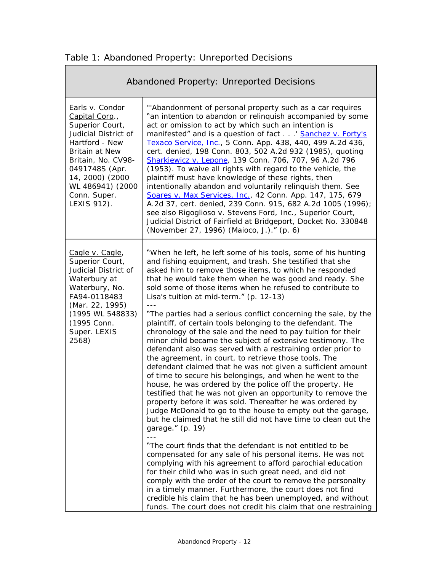| Abandoned Property: Unreported Decisions                                                                                                                                                                                       |                                                                                                                                                                                                                                                                                                                                                                                                                                                                                                                                                                                                                                                                                                                                                                                                                                                                                                                                                                                                                                                                                                                                                                                                                                                                                                                                                                                                                                                                                                                                                                                                                                                                                                                                           |  |
|--------------------------------------------------------------------------------------------------------------------------------------------------------------------------------------------------------------------------------|-------------------------------------------------------------------------------------------------------------------------------------------------------------------------------------------------------------------------------------------------------------------------------------------------------------------------------------------------------------------------------------------------------------------------------------------------------------------------------------------------------------------------------------------------------------------------------------------------------------------------------------------------------------------------------------------------------------------------------------------------------------------------------------------------------------------------------------------------------------------------------------------------------------------------------------------------------------------------------------------------------------------------------------------------------------------------------------------------------------------------------------------------------------------------------------------------------------------------------------------------------------------------------------------------------------------------------------------------------------------------------------------------------------------------------------------------------------------------------------------------------------------------------------------------------------------------------------------------------------------------------------------------------------------------------------------------------------------------------------------|--|
| Earls v. Condor<br>Capital Corp.,<br>Superior Court,<br>Judicial District of<br>Hartford - New<br>Britain at New<br>Britain, No. CV98-<br>0491748S (Apr.<br>14, 2000) (2000<br>WL 486941) (2000<br>Conn. Super.<br>LEXIS 912). | "'Abandonment of personal property such as a car requires<br>"an intention to abandon or relinguish accompanied by some<br>act or omission to act by which such an intention is<br>manifested" and is a question of fact ' Sanchez v. Forty's<br>Texaco Service, Inc., 5 Conn. App. 438, 440, 499 A.2d 436,<br>cert. denied, 198 Conn. 803, 502 A.2d 932 (1985), quoting<br>Sharkiewicz v. Lepone, 139 Conn. 706, 707, 96 A.2d 796<br>(1953). To waive all rights with regard to the vehicle, the<br>plaintiff must have knowledge of these rights, then<br>intentionally abandon and voluntarily relinquish them. See<br>Soares v. Max Services, Inc., 42 Conn. App. 147, 175, 679<br>A.2d 37, cert. denied, 239 Conn. 915, 682 A.2d 1005 (1996);<br>see also Rigoglioso v. Stevens Ford, Inc., Superior Court,<br>Judicial District of Fairfield at Bridgeport, Docket No. 330848<br>(November 27, 1996) (Maioco, J.)." (p. 6)                                                                                                                                                                                                                                                                                                                                                                                                                                                                                                                                                                                                                                                                                                                                                                                                          |  |
| Cagle v. Cagle,<br>Superior Court,<br>Judicial District of<br>Waterbury at<br>Waterbury, No.<br>FA94-0118483<br>(Mar. 22, 1995)<br>(1995 WL 548833)<br>(1995 Conn.<br>Super. LEXIS<br>2568)                                    | "When he left, he left some of his tools, some of his hunting<br>and fishing equipment, and trash. She testified that she<br>asked him to remove those items, to which he responded<br>that he would take them when he was good and ready. She<br>sold some of those items when he refused to contribute to<br>Lisa's tuition at mid-term." (p. 12-13)<br>"The parties had a serious conflict concerning the sale, by the<br>plaintiff, of certain tools belonging to the defendant. The<br>chronology of the sale and the need to pay tuition for their<br>minor child became the subject of extensive testimony. The<br>defendant also was served with a restraining order prior to<br>the agreement, in court, to retrieve those tools. The<br>defendant claimed that he was not given a sufficient amount<br>of time to secure his belongings, and when he went to the<br>house, he was ordered by the police off the property. He<br>testified that he was not given an opportunity to remove the<br>property before it was sold. Thereafter he was ordered by<br>Judge McDonald to go to the house to empty out the garage,<br>but he claimed that he still did not have time to clean out the<br>garage." (p. 19)<br>"The court finds that the defendant is not entitled to be<br>compensated for any sale of his personal items. He was not<br>complying with his agreement to afford parochial education<br>for their child who was in such great need, and did not<br>comply with the order of the court to remove the personalty<br>in a timely manner. Furthermore, the court does not find<br>credible his claim that he has been unemployed, and without<br>funds. The court does not credit his claim that one restraining |  |

<span id="page-11-0"></span>

Ē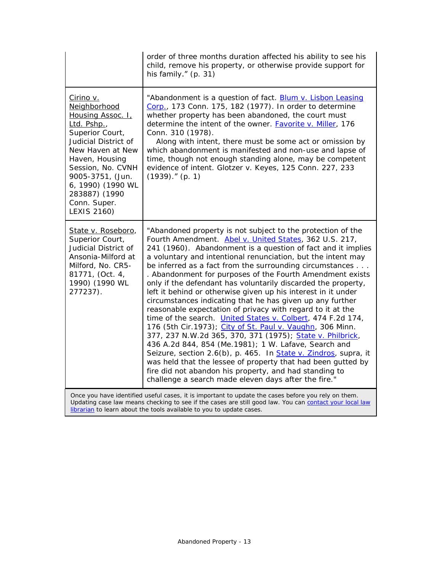|                                                                                                                                                                                                                                                                     | order of three months duration affected his ability to see his<br>child, remove his property, or otherwise provide support for<br>his family." $(p. 31)$                                                                                                                                                                                                                                                                                                                                                                                                                                                                                                                                                                                                                                                                                                                                                                                                                                                                                                                                                                                                          |
|---------------------------------------------------------------------------------------------------------------------------------------------------------------------------------------------------------------------------------------------------------------------|-------------------------------------------------------------------------------------------------------------------------------------------------------------------------------------------------------------------------------------------------------------------------------------------------------------------------------------------------------------------------------------------------------------------------------------------------------------------------------------------------------------------------------------------------------------------------------------------------------------------------------------------------------------------------------------------------------------------------------------------------------------------------------------------------------------------------------------------------------------------------------------------------------------------------------------------------------------------------------------------------------------------------------------------------------------------------------------------------------------------------------------------------------------------|
| <u>Cirino v.</u><br>Neighborhood<br>Housing Assoc. I.<br>Ltd. Pshp.,<br>Superior Court,<br>Judicial District of<br>New Haven at New<br>Haven, Housing<br>Session, No. CVNH<br>9005-3751, (Jun.<br>6, 1990) (1990 WL<br>283887) (1990<br>Conn. Super.<br>LEXIS 2160) | "Abandonment is a question of fact. <b>Blum v. Lisbon Leasing</b><br>Corp., 173 Conn. 175, 182 (1977). In order to determine<br>whether property has been abandoned, the court must<br>determine the intent of the owner. <b>Favorite v. Miller</b> , 176<br>Conn. 310 (1978).<br>Along with intent, there must be some act or omission by<br>which abandonment is manifested and non-use and lapse of<br>time, though not enough standing alone, may be competent<br>evidence of intent. Glotzer v. Keyes, 125 Conn. 227, 233<br>$(1939)$ ." (p. 1)                                                                                                                                                                                                                                                                                                                                                                                                                                                                                                                                                                                                              |
| State v. Roseboro,<br>Superior Court,<br>Judicial District of<br>Ansonia-Milford at<br>Milford, No. CR5-<br>81771, (Oct. 4,<br>1990) (1990 WL<br>277237).                                                                                                           | "Abandoned property is not subject to the protection of the<br>Fourth Amendment. Abel v. United States, 362 U.S. 217,<br>241 (1960). Abandonment is a question of fact and it implies<br>a voluntary and intentional renunciation, but the intent may<br>be inferred as a fact from the surrounding circumstances<br>. Abandonment for purposes of the Fourth Amendment exists<br>only if the defendant has voluntarily discarded the property,<br>left it behind or otherwise given up his interest in it under<br>circumstances indicating that he has given up any further<br>reasonable expectation of privacy with regard to it at the<br>time of the search. <i>United States v. Colbert</i> , 474 F.2d 174,<br>176 (5th Cir.1973); <i>City of St. Paul v. Vaughn</i> , 306 Minn.<br>377, 237 N.W.2d 365, 370, 371 (1975); State v. Philbrick,<br>436 A.2d 844, 854 (Me.1981); 1 W. Lafave, Search and<br>Seizure, section 2.6(b), p. 465. In State v. Zindros, supra, it<br>was held that the lessee of property that had been gutted by<br>fire did not abandon his property, and had standing to<br>challenge a search made eleven days after the fire." |
|                                                                                                                                                                                                                                                                     | Once you have identified useful cases, it is important to update the cases before you rely on them.                                                                                                                                                                                                                                                                                                                                                                                                                                                                                                                                                                                                                                                                                                                                                                                                                                                                                                                                                                                                                                                               |

Updating case law means checking to see if the cases are still good law. You can contact your local law [librarian](https://www.jud.ct.gov/lawlib/staff.htm) to learn about the tools available to you to update cases.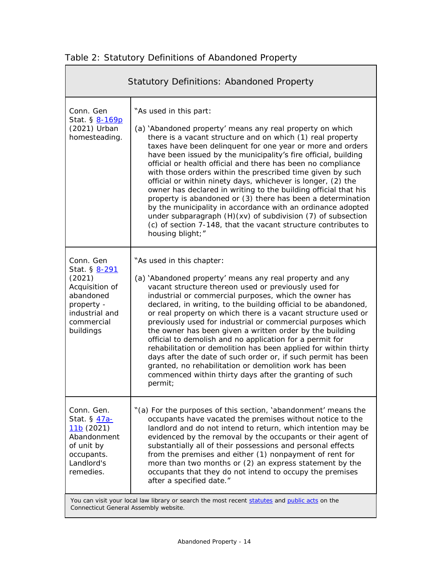<span id="page-13-0"></span>

|  | Table 2: Statutory Definitions of Abandoned Property |  |
|--|------------------------------------------------------|--|
|  |                                                      |  |

<span id="page-13-1"></span>

| <b>Statutory Definitions: Abandoned Property</b>                                                                               |                                                                                                                                                                                                                                                                                                                                                                                                                                                                                                                                                                                                                                                                                                                                                                                                                                       |  |
|--------------------------------------------------------------------------------------------------------------------------------|---------------------------------------------------------------------------------------------------------------------------------------------------------------------------------------------------------------------------------------------------------------------------------------------------------------------------------------------------------------------------------------------------------------------------------------------------------------------------------------------------------------------------------------------------------------------------------------------------------------------------------------------------------------------------------------------------------------------------------------------------------------------------------------------------------------------------------------|--|
| Conn. Gen<br>Stat. § 8-169p<br>(2021) Urban<br>homesteading.                                                                   | "As used in this part:<br>(a) 'Abandoned property' means any real property on which<br>there is a vacant structure and on which (1) real property<br>taxes have been delinquent for one year or more and orders<br>have been issued by the municipality's fire official, building<br>official or health official and there has been no compliance<br>with those orders within the prescribed time given by such<br>official or within ninety days, whichever is longer, (2) the<br>owner has declared in writing to the building official that his<br>property is abandoned or (3) there has been a determination<br>by the municipality in accordance with an ordinance adopted<br>under subparagraph (H)(xv) of subdivision (7) of subsection<br>(c) of section 7-148, that the vacant structure contributes to<br>housing blight;" |  |
| Conn. Gen<br>Stat. § 8-291<br>(2021)<br>Acquisition of<br>abandoned<br>property -<br>industrial and<br>commercial<br>buildings | "As used in this chapter:<br>(a) 'Abandoned property' means any real property and any<br>vacant structure thereon used or previously used for<br>industrial or commercial purposes, which the owner has<br>declared, in writing, to the building official to be abandoned,<br>or real property on which there is a vacant structure used or<br>previously used for industrial or commercial purposes which<br>the owner has been given a written order by the building<br>official to demolish and no application for a permit for<br>rehabilitation or demolition has been applied for within thirty<br>days after the date of such order or, if such permit has been<br>granted, no rehabilitation or demolition work has been<br>commenced within thirty days after the granting of such<br>permit;                                |  |
| Conn. Gen.<br>Stat. § 47a-<br>11b(2021)<br>Abandonment<br>of unit by<br>occupants.<br>Landlord's<br>remedies.                  | "(a) For the purposes of this section, 'abandonment' means the<br>occupants have vacated the premises without notice to the<br>landlord and do not intend to return, which intention may be<br>evidenced by the removal by the occupants or their agent of<br>substantially all of their possessions and personal effects<br>from the premises and either (1) nonpayment of rent for<br>more than two months or (2) an express statement by the<br>occupants that they do not intend to occupy the premises<br>after a specified date."                                                                                                                                                                                                                                                                                               |  |
| Connecticut General Assembly website.                                                                                          | You can visit your local law library or search the most recent statutes and public acts on the                                                                                                                                                                                                                                                                                                                                                                                                                                                                                                                                                                                                                                                                                                                                        |  |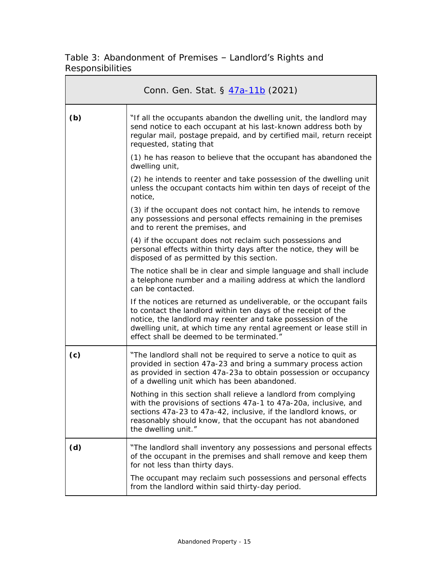Table 3: Abandonment of Premises – Landlord's Rights and Responsibilities

| Conn. Gen. Stat. § 47a-11b (2021) |                                                                                                                                                                                                                                                                                                                         |  |
|-----------------------------------|-------------------------------------------------------------------------------------------------------------------------------------------------------------------------------------------------------------------------------------------------------------------------------------------------------------------------|--|
| (b)                               | "If all the occupants abandon the dwelling unit, the landlord may<br>send notice to each occupant at his last-known address both by<br>regular mail, postage prepaid, and by certified mail, return receipt<br>requested, stating that                                                                                  |  |
|                                   | (1) he has reason to believe that the occupant has abandoned the<br>dwelling unit,                                                                                                                                                                                                                                      |  |
|                                   | (2) he intends to reenter and take possession of the dwelling unit<br>unless the occupant contacts him within ten days of receipt of the<br>notice,                                                                                                                                                                     |  |
|                                   | (3) if the occupant does not contact him, he intends to remove<br>any possessions and personal effects remaining in the premises<br>and to rerent the premises, and                                                                                                                                                     |  |
|                                   | (4) if the occupant does not reclaim such possessions and<br>personal effects within thirty days after the notice, they will be<br>disposed of as permitted by this section.                                                                                                                                            |  |
|                                   | The notice shall be in clear and simple language and shall include<br>a telephone number and a mailing address at which the landlord<br>can be contacted.                                                                                                                                                               |  |
|                                   | If the notices are returned as undeliverable, or the occupant fails<br>to contact the landlord within ten days of the receipt of the<br>notice, the landlord may reenter and take possession of the<br>dwelling unit, at which time any rental agreement or lease still in<br>effect shall be deemed to be terminated." |  |
| (c)                               | "The landlord shall not be required to serve a notice to quit as<br>provided in section 47a-23 and bring a summary process action<br>as provided in section 47a-23a to obtain possession or occupancy<br>of a dwelling unit which has been abandoned.                                                                   |  |
|                                   | Nothing in this section shall relieve a landlord from complying<br>with the provisions of sections 47a-1 to 47a-20a, inclusive, and<br>sections 47a-23 to 47a-42, inclusive, if the landlord knows, or<br>reasonably should know, that the occupant has not abandoned<br>the dwelling unit."                            |  |
| (d)                               | "The landlord shall inventory any possessions and personal effects<br>of the occupant in the premises and shall remove and keep them<br>for not less than thirty days.                                                                                                                                                  |  |
|                                   | The occupant may reclaim such possessions and personal effects<br>from the landlord within said thirty-day period.                                                                                                                                                                                                      |  |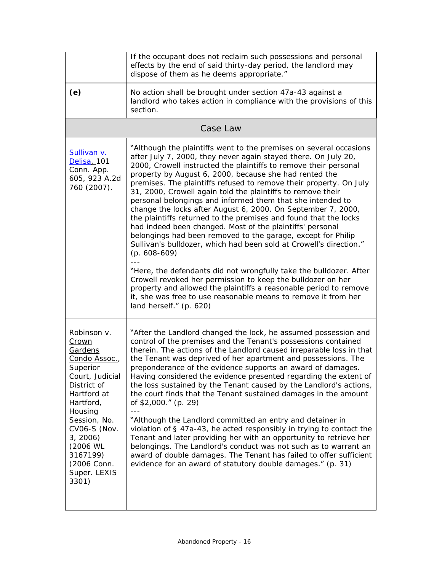|                                                                                                                                                                                                                                                         | If the occupant does not reclaim such possessions and personal<br>effects by the end of said thirty-day period, the landlord may<br>dispose of them as he deems appropriate."                                                                                                                                                                                                                                                                                                                                                                                                                                                                                                                                                                                                                                                                                                                                                                                                                                                                                                                                                         |
|---------------------------------------------------------------------------------------------------------------------------------------------------------------------------------------------------------------------------------------------------------|---------------------------------------------------------------------------------------------------------------------------------------------------------------------------------------------------------------------------------------------------------------------------------------------------------------------------------------------------------------------------------------------------------------------------------------------------------------------------------------------------------------------------------------------------------------------------------------------------------------------------------------------------------------------------------------------------------------------------------------------------------------------------------------------------------------------------------------------------------------------------------------------------------------------------------------------------------------------------------------------------------------------------------------------------------------------------------------------------------------------------------------|
| (e)                                                                                                                                                                                                                                                     | No action shall be brought under section 47a-43 against a<br>landlord who takes action in compliance with the provisions of this<br>section.                                                                                                                                                                                                                                                                                                                                                                                                                                                                                                                                                                                                                                                                                                                                                                                                                                                                                                                                                                                          |
|                                                                                                                                                                                                                                                         | Case Law                                                                                                                                                                                                                                                                                                                                                                                                                                                                                                                                                                                                                                                                                                                                                                                                                                                                                                                                                                                                                                                                                                                              |
| <b>Sullivan v.</b><br>Delisa, 101<br>Conn. App.<br>605, 923 A.2d<br>760 (2007).                                                                                                                                                                         | "Although the plaintiffs went to the premises on several occasions<br>after July 7, 2000, they never again stayed there. On July 20,<br>2000, Crowell instructed the plaintiffs to remove their personal<br>property by August 6, 2000, because she had rented the<br>premises. The plaintiffs refused to remove their property. On July<br>31, 2000, Crowell again told the plaintiffs to remove their<br>personal belongings and informed them that she intended to<br>change the locks after August 6, 2000. On September 7, 2000,<br>the plaintiffs returned to the premises and found that the locks<br>had indeed been changed. Most of the plaintiffs' personal<br>belongings had been removed to the garage, except for Philip<br>Sullivan's bulldozer, which had been sold at Crowell's direction."<br>$(p. 608-609)$<br>"Here, the defendants did not wrongfully take the bulldozer. After<br>Crowell revoked her permission to keep the bulldozer on her<br>property and allowed the plaintiffs a reasonable period to remove<br>it, she was free to use reasonable means to remove it from her<br>land herself." (p. 620) |
| Robinson v.<br>Crown<br>Gardens<br>Condo Assoc.,<br>Superior<br>Court, Judicial<br>District of<br>Hartford at<br>Hartford,<br>Housing<br>Session, No.<br><b>CV06-S (Nov.</b><br>3, 2006<br>(2006 WL<br>3167199)<br>(2006 Conn.<br>Super. LEXIS<br>3301) | "After the Landlord changed the lock, he assumed possession and<br>control of the premises and the Tenant's possessions contained<br>therein. The actions of the Landlord caused irreparable loss in that<br>the Tenant was deprived of her apartment and possessions. The<br>preponderance of the evidence supports an award of damages.<br>Having considered the evidence presented regarding the extent of<br>the loss sustained by the Tenant caused by the Landlord's actions,<br>the court finds that the Tenant sustained damages in the amount<br>of $$2,000."$ (p. 29)<br>"Although the Landlord committed an entry and detainer in<br>violation of § 47a-43, he acted responsibly in trying to contact the<br>Tenant and later providing her with an opportunity to retrieve her<br>belongings. The Landlord's conduct was not such as to warrant an<br>award of double damages. The Tenant has failed to offer sufficient<br>evidence for an award of statutory double damages." (p. 31)                                                                                                                                   |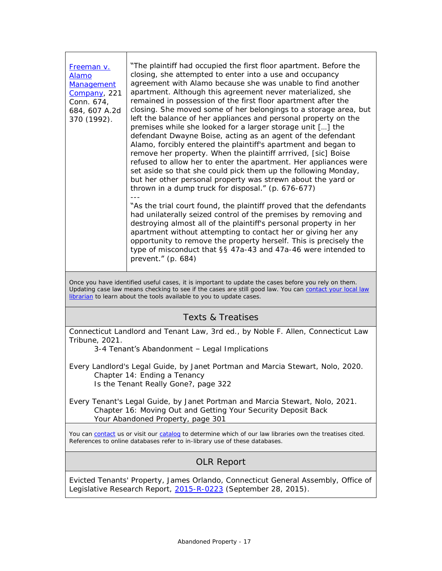| <b>Freeman v.</b><br>Alamo<br><b>Management</b><br>Company, 221<br>Conn. 674,<br>684, 607 A.2d<br>370 (1992). | "The plaintiff had occupied the first floor apartment. Before the<br>closing, she attempted to enter into a use and occupancy<br>agreement with Alamo because she was unable to find another<br>apartment. Although this agreement never materialized, she<br>remained in possession of the first floor apartment after the<br>closing. She moved some of her belongings to a storage area, but<br>left the balance of her appliances and personal property on the<br>premises while she looked for a larger storage unit [] the<br>defendant Dwayne Boise, acting as an agent of the defendant<br>Alamo, forcibly entered the plaintiff's apartment and began to<br>remove her property. When the plaintiff arrrived, [sic] Boise<br>refused to allow her to enter the apartment. Her appliances were<br>set aside so that she could pick them up the following Monday,<br>but her other personal property was strewn about the yard or<br>thrown in a dump truck for disposal." (p. 676-677)<br>"As the trial court found, the plaintiff proved that the defendants |
|---------------------------------------------------------------------------------------------------------------|-----------------------------------------------------------------------------------------------------------------------------------------------------------------------------------------------------------------------------------------------------------------------------------------------------------------------------------------------------------------------------------------------------------------------------------------------------------------------------------------------------------------------------------------------------------------------------------------------------------------------------------------------------------------------------------------------------------------------------------------------------------------------------------------------------------------------------------------------------------------------------------------------------------------------------------------------------------------------------------------------------------------------------------------------------------------------|
|                                                                                                               | had unilaterally seized control of the premises by removing and<br>destroying almost all of the plaintiff's personal property in her<br>apartment without attempting to contact her or giving her any<br>opportunity to remove the property herself. This is precisely the<br>type of misconduct that §§ 47a-43 and 47a-46 were intended to<br>prevent." $(p. 684)$                                                                                                                                                                                                                                                                                                                                                                                                                                                                                                                                                                                                                                                                                                   |
|                                                                                                               | Once you have identified useful cases, it is important to update the cases before you rely on them.                                                                                                                                                                                                                                                                                                                                                                                                                                                                                                                                                                                                                                                                                                                                                                                                                                                                                                                                                                   |
|                                                                                                               | Updating case law means checking to see if the cases are still good law. You can contact your local law<br>librarian to learn about the tools available to you to update cases.                                                                                                                                                                                                                                                                                                                                                                                                                                                                                                                                                                                                                                                                                                                                                                                                                                                                                       |
|                                                                                                               | Texts & Treatises                                                                                                                                                                                                                                                                                                                                                                                                                                                                                                                                                                                                                                                                                                                                                                                                                                                                                                                                                                                                                                                     |
|                                                                                                               | Connecticut Landlord and Tenant Law, 3rd ed., by Noble F. Allen, Connecticut Law                                                                                                                                                                                                                                                                                                                                                                                                                                                                                                                                                                                                                                                                                                                                                                                                                                                                                                                                                                                      |

Tribune, 2021.

3-4 Tenant's Abandonment – Legal Implications

- *Every Landlord's Legal Guide*, by Janet Portman and Marcia Stewart, Nolo, 2020. Chapter 14: Ending a Tenancy Is the Tenant Really Gone?, page 322
- *Every Tenant's Legal Guide*, by Janet Portman and Marcia Stewart, Nolo, 2021. Chapter 16: Moving Out and Getting Your Security Deposit Back Your Abandoned Property, page 301

You can [contact](https://www.jud.ct.gov/lawlib/staff.htm) us or visit our [catalog](https://www.jud.ct.gov/lawlib/searchcatalog.html) to determine which of our law libraries own the treatises cited. References to online databases refer to in-library use of these databases.

## OLR Report

*Evicted Tenants' Property*, James Orlando, Connecticut General Assembly, Office of Legislative Research Report, [2015-R-0223](https://www.cga.ct.gov/2015/rpt/pdf/2015-R-0223.pdf) (September 28, 2015).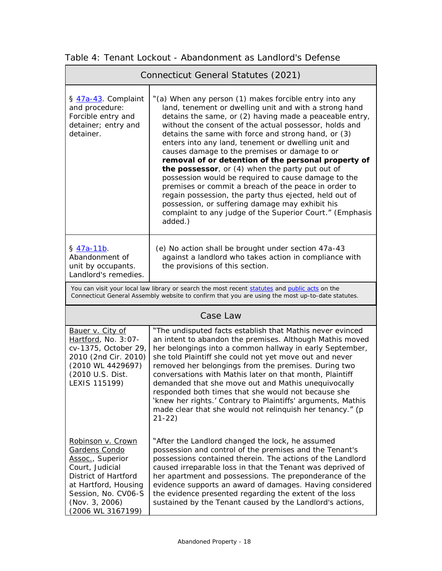| Connecticut General Statutes (2021)                                                                                                                                                                |                                                                                                                                                                                                                                                                                                                                                                                                                                                                                                                                                                                                                                                                                                                                                                                                                   |  |
|----------------------------------------------------------------------------------------------------------------------------------------------------------------------------------------------------|-------------------------------------------------------------------------------------------------------------------------------------------------------------------------------------------------------------------------------------------------------------------------------------------------------------------------------------------------------------------------------------------------------------------------------------------------------------------------------------------------------------------------------------------------------------------------------------------------------------------------------------------------------------------------------------------------------------------------------------------------------------------------------------------------------------------|--|
| § 47a-43. Complaint<br>and procedure:<br>Forcible entry and<br>detainer; entry and<br>detainer.                                                                                                    | "(a) When any person (1) makes forcible entry into any<br>land, tenement or dwelling unit and with a strong hand<br>detains the same, or (2) having made a peaceable entry,<br>without the consent of the actual possessor, holds and<br>detains the same with force and strong hand, or (3)<br>enters into any land, tenement or dwelling unit and<br>causes damage to the premises or damage to or<br>removal of or detention of the personal property of<br>the possessor, or (4) when the party put out of<br>possession would be required to cause damage to the<br>premises or commit a breach of the peace in order to<br>regain possession, the party thus ejected, held out of<br>possession, or suffering damage may exhibit his<br>complaint to any judge of the Superior Court." (Emphasis<br>added.) |  |
| § 47a-11b.<br>Abandonment of<br>unit by occupants.<br>Landlord's remedies.                                                                                                                         | (e) No action shall be brought under section 47a-43<br>against a landlord who takes action in compliance with<br>the provisions of this section.                                                                                                                                                                                                                                                                                                                                                                                                                                                                                                                                                                                                                                                                  |  |
| You can visit your local law library or search the most recent statutes and public acts on the<br>Connecticut General Assembly website to confirm that you are using the most up-to-date statutes. |                                                                                                                                                                                                                                                                                                                                                                                                                                                                                                                                                                                                                                                                                                                                                                                                                   |  |
| Case Law                                                                                                                                                                                           |                                                                                                                                                                                                                                                                                                                                                                                                                                                                                                                                                                                                                                                                                                                                                                                                                   |  |
| Bauer v. City of<br>Hartford, No. 3:07-<br>cv-1375, October 29,<br>2010 (2nd Cir. 2010)<br>(2010 WL 4429697)<br>(2010 U.S. Dist.<br>LEXIS 115199)                                                  | "The undisputed facts establish that Mathis never evinced<br>an intent to abandon the premises. Although Mathis moved<br>her belongings into a common hallway in early September,<br>she told Plaintiff she could not yet move out and never<br>removed her belongings from the premises. During two<br>conversations with Mathis later on that month, Plaintiff<br>demanded that she move out and Mathis unequivocally<br>responded both times that she would not because she<br>'knew her rights.' Contrary to Plaintiffs' arguments, Mathis<br>made clear that she would not relinquish her tenancy." (p<br>$21 - 22)$                                                                                                                                                                                         |  |
| Robinson v. Crown<br>Gardens Condo<br>Assoc., Superior<br>Court, Judicial<br>District of Hartford<br>at Hartford, Housing<br>Session, No. CV06-S<br>(Nov. 3, 2006)<br>(2006 WL 3167199)            | "After the Landlord changed the lock, he assumed<br>possession and control of the premises and the Tenant's<br>possessions contained therein. The actions of the Landlord<br>caused irreparable loss in that the Tenant was deprived of<br>her apartment and possessions. The preponderance of the<br>evidence supports an award of damages. Having considered<br>the evidence presented regarding the extent of the loss<br>sustained by the Tenant caused by the Landlord's actions,                                                                                                                                                                                                                                                                                                                            |  |

<span id="page-17-0"></span>Table 4: Tenant Lockout - Abandonment as Landlord's Defense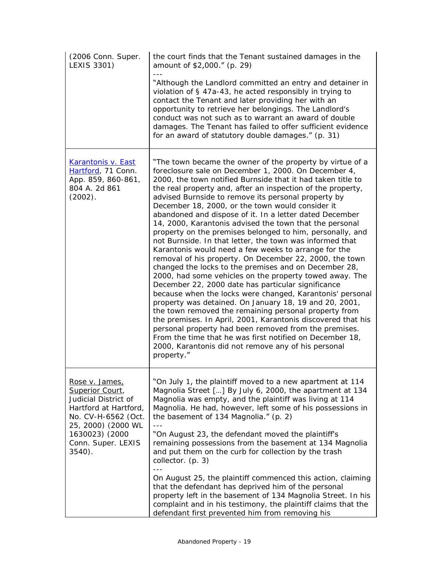| (2006 Conn. Super.<br>LEXIS 3301)                                                                                                                                                    | the court finds that the Tenant sustained damages in the<br>amount of \$2,000." (p. 29)                                                                                                                                                                                                                                                                                                                                                                                                                                                                                                                                                                                                                                                                                                                                                                                                                                                                                                                                                                                                                                                                                                                                                                                                                                                          |
|--------------------------------------------------------------------------------------------------------------------------------------------------------------------------------------|--------------------------------------------------------------------------------------------------------------------------------------------------------------------------------------------------------------------------------------------------------------------------------------------------------------------------------------------------------------------------------------------------------------------------------------------------------------------------------------------------------------------------------------------------------------------------------------------------------------------------------------------------------------------------------------------------------------------------------------------------------------------------------------------------------------------------------------------------------------------------------------------------------------------------------------------------------------------------------------------------------------------------------------------------------------------------------------------------------------------------------------------------------------------------------------------------------------------------------------------------------------------------------------------------------------------------------------------------|
|                                                                                                                                                                                      | "Although the Landlord committed an entry and detainer in<br>violation of § 47a-43, he acted responsibly in trying to<br>contact the Tenant and later providing her with an<br>opportunity to retrieve her belongings. The Landlord's<br>conduct was not such as to warrant an award of double<br>damages. The Tenant has failed to offer sufficient evidence<br>for an award of statutory double damages." (p. 31)                                                                                                                                                                                                                                                                                                                                                                                                                                                                                                                                                                                                                                                                                                                                                                                                                                                                                                                              |
| Karantonis v. East<br>Hartford, 71 Conn.<br>App. 859, 860-861,<br>804 A. 2d 861<br>$(2002)$ .                                                                                        | "The town became the owner of the property by virtue of a<br>foreclosure sale on December 1, 2000. On December 4,<br>2000, the town notified Burnside that it had taken title to<br>the real property and, after an inspection of the property,<br>advised Burnside to remove its personal property by<br>December 18, 2000, or the town would consider it<br>abandoned and dispose of it. In a letter dated December<br>14, 2000, Karantonis advised the town that the personal<br>property on the premises belonged to him, personally, and<br>not Burnside. In that letter, the town was informed that<br>Karantonis would need a few weeks to arrange for the<br>removal of his property. On December 22, 2000, the town<br>changed the locks to the premises and on December 28,<br>2000, had some vehicles on the property towed away. The<br>December 22, 2000 date has particular significance<br>because when the locks were changed, Karantonis' personal<br>property was detained. On January 18, 19 and 20, 2001,<br>the town removed the remaining personal property from<br>the premises. In April, 2001, Karantonis discovered that his<br>personal property had been removed from the premises.<br>From the time that he was first notified on December 18,<br>2000, Karantonis did not remove any of his personal<br>property." |
| Rose v. James,<br>Superior Court,<br>Judicial District of<br>Hartford at Hartford,<br>No. CV-H-6562 (Oct.<br>25, 2000) (2000 WL<br>1630023) (2000<br>Conn. Super. LEXIS<br>$3540$ ). | "On July 1, the plaintiff moved to a new apartment at 114<br>Magnolia Street [] By July 6, 2000, the apartment at 134<br>Magnolia was empty, and the plaintiff was living at 114<br>Magnolia. He had, however, left some of his possessions in<br>the basement of 134 Magnolia." (p. 2)<br>"On August 23, the defendant moved the plaintiff's<br>remaining possessions from the basement at 134 Magnolia<br>and put them on the curb for collection by the trash<br>collector. (p. 3)<br>$- - -$                                                                                                                                                                                                                                                                                                                                                                                                                                                                                                                                                                                                                                                                                                                                                                                                                                                 |
|                                                                                                                                                                                      | On August 25, the plaintiff commenced this action, claiming<br>that the defendant has deprived him of the personal<br>property left in the basement of 134 Magnolia Street. In his<br>complaint and in his testimony, the plaintiff claims that the<br>defendant first prevented him from removing his                                                                                                                                                                                                                                                                                                                                                                                                                                                                                                                                                                                                                                                                                                                                                                                                                                                                                                                                                                                                                                           |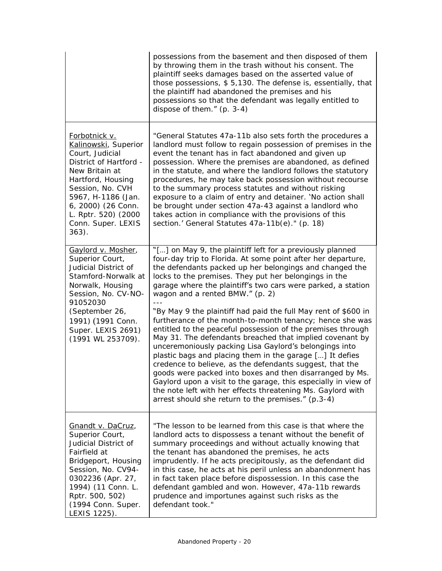|                                                                                                                                                                                                                                                   | possessions from the basement and then disposed of them<br>by throwing them in the trash without his consent. The<br>plaintiff seeks damages based on the asserted value of<br>those possessions, \$5,130. The defense is, essentially, that<br>the plaintiff had abandoned the premises and his<br>possessions so that the defendant was legally entitled to<br>dispose of them." $(p. 3-4)$                                                                                                                                                                                                                                                                          |
|---------------------------------------------------------------------------------------------------------------------------------------------------------------------------------------------------------------------------------------------------|------------------------------------------------------------------------------------------------------------------------------------------------------------------------------------------------------------------------------------------------------------------------------------------------------------------------------------------------------------------------------------------------------------------------------------------------------------------------------------------------------------------------------------------------------------------------------------------------------------------------------------------------------------------------|
| Forbotnick v.<br>Kalinowski, Superior<br>Court, Judicial<br>District of Hartford -<br>New Britain at<br>Hartford, Housing<br>Session, No. CVH<br>5967, H-1186 (Jan.<br>6, 2000) (26 Conn.<br>L. Rptr. 520) (2000<br>Conn. Super. LEXIS<br>$363$ . | "General Statutes 47a-11b also sets forth the procedures a<br>landlord must follow to regain possession of premises in the<br>event the tenant has in fact abandoned and given up<br>possession. Where the premises are abandoned, as defined<br>in the statute, and where the landlord follows the statutory<br>procedures, he may take back possession without recourse<br>to the summary process statutes and without risking<br>exposure to a claim of entry and detainer. 'No action shall<br>be brought under section 47a-43 against a landlord who<br>takes action in compliance with the provisions of this<br>section.' General Statutes 47a-11b(e)." (p. 18) |
| Gaylord v. Mosher,<br>Superior Court,<br>Judicial District of<br>Stamford-Norwalk at<br>Norwalk, Housing<br>Session, No. CV-NO-<br>91052030<br>(September 26,                                                                                     | "[] on May 9, the plaintiff left for a previously planned<br>four-day trip to Florida. At some point after her departure,<br>the defendants packed up her belongings and changed the<br>locks to the premises. They put her belongings in the<br>garage where the plaintiff's two cars were parked, a station<br>wagon and a rented BMW." (p. 2)<br>"By May 9 the plaintiff had paid the full May rent of \$600 in                                                                                                                                                                                                                                                     |
| 1991) (1991 Conn.<br>Super. LEXIS 2691)<br>(1991 WL 253709).                                                                                                                                                                                      | furtherance of the month-to-month tenancy; hence she was<br>entitled to the peaceful possession of the premises through<br>May 31. The defendants breached that implied covenant by<br>unceremoniously packing Lisa Gaylord's belongings into<br>plastic bags and placing them in the garage [] It defies<br>credence to believe, as the defendants suggest, that the<br>goods were packed into boxes and then disarranged by Ms.<br>Gaylord upon a visit to the garage, this especially in view of<br>the note left with her effects threatening Ms. Gaylord with<br>arrest should she return to the premises." (p.3-4)                                               |
| Gnandt v. DaCruz,<br>Superior Court,<br>Judicial District of<br>Fairfield at<br>Bridgeport, Housing<br>Session, No. CV94-<br>0302236 (Apr. 27,<br>1994) (11 Conn. L.<br>Rptr. 500, 502)<br>(1994 Conn. Super.<br>LEXIS 1225).                     | "The lesson to be learned from this case is that where the<br>landlord acts to dispossess a tenant without the benefit of<br>summary proceedings and without actually knowing that<br>the tenant has abandoned the premises, he acts<br>imprudently. If he acts precipitously, as the defendant did<br>in this case, he acts at his peril unless an abandonment has<br>in fact taken place before dispossession. In this case the<br>defendant gambled and won. However, 47a-11b rewards<br>prudence and importunes against such risks as the<br>defendant took."                                                                                                      |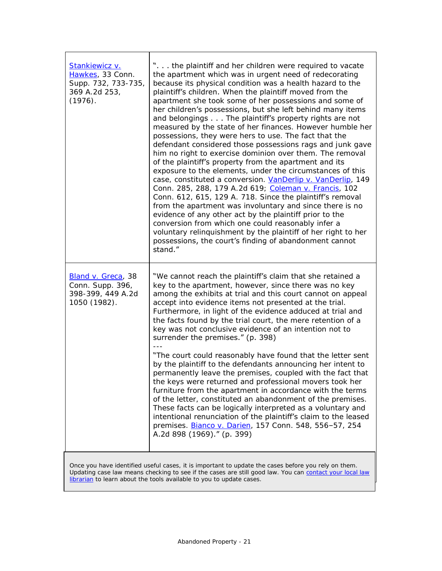| Stankiewicz v.<br>Hawkes, 33 Conn.<br>Supp. 732, 733-735,<br>369 A.2d 253,<br>(1976). | " the plaintiff and her children were required to vacate<br>the apartment which was in urgent need of redecorating<br>because its physical condition was a health hazard to the<br>plaintiff's children. When the plaintiff moved from the<br>apartment she took some of her possessions and some of<br>her children's possessions, but she left behind many items<br>and belongings The plaintiff's property rights are not<br>measured by the state of her finances. However humble her<br>possessions, they were hers to use. The fact that the<br>defendant considered those possessions rags and junk gave<br>him no right to exercise dominion over them. The removal<br>of the plaintiff's property from the apartment and its<br>exposure to the elements, under the circumstances of this<br>case, constituted a conversion. VanDerlip v. VanDerlip, 149<br>Conn. 285, 288, 179 A.2d 619; Coleman v. Francis, 102<br>Conn. 612, 615, 129 A. 718. Since the plaintiff's removal<br>from the apartment was involuntary and since there is no<br>evidence of any other act by the plaintiff prior to the<br>conversion from which one could reasonably infer a<br>voluntary relinquishment by the plaintiff of her right to her<br>possessions, the court's finding of abandonment cannot<br>stand." |
|---------------------------------------------------------------------------------------|------------------------------------------------------------------------------------------------------------------------------------------------------------------------------------------------------------------------------------------------------------------------------------------------------------------------------------------------------------------------------------------------------------------------------------------------------------------------------------------------------------------------------------------------------------------------------------------------------------------------------------------------------------------------------------------------------------------------------------------------------------------------------------------------------------------------------------------------------------------------------------------------------------------------------------------------------------------------------------------------------------------------------------------------------------------------------------------------------------------------------------------------------------------------------------------------------------------------------------------------------------------------------------------------------------|
| Bland v. Greca, 38<br>Conn. Supp. 396,<br>398-399, 449 A.2d<br>1050 (1982).           | "We cannot reach the plaintiff's claim that she retained a<br>key to the apartment, however, since there was no key<br>among the exhibits at trial and this court cannot on appeal<br>accept into evidence items not presented at the trial.<br>Furthermore, in light of the evidence adduced at trial and<br>the facts found by the trial court, the mere retention of a<br>key was not conclusive evidence of an intention not to<br>surrender the premises." (p. 398)<br>"The court could reasonably have found that the letter sent<br>by the plaintiff to the defendants announcing her intent to<br>permanently leave the premises, coupled with the fact that<br>the keys were returned and professional movers took her<br>furniture from the apartment in accordance with the terms<br>of the letter, constituted an abandonment of the premises.<br>These facts can be logically interpreted as a voluntary and<br>intentional renunciation of the plaintiff's claim to the leased<br>premises. <b>Bianco v. Darien</b> , 157 Conn. 548, 556-57, 254<br>A.2d 898 (1969)." (p. 399)                                                                                                                                                                                                               |
|                                                                                       |                                                                                                                                                                                                                                                                                                                                                                                                                                                                                                                                                                                                                                                                                                                                                                                                                                                                                                                                                                                                                                                                                                                                                                                                                                                                                                            |

Once you have identified useful cases, it is important to update the cases before you rely on them. Updating case law means checking to see if the cases are still good law. You can contact your local law [librarian](https://www.jud.ct.gov/lawlib/staff.htm) to learn about the tools available to you to update cases.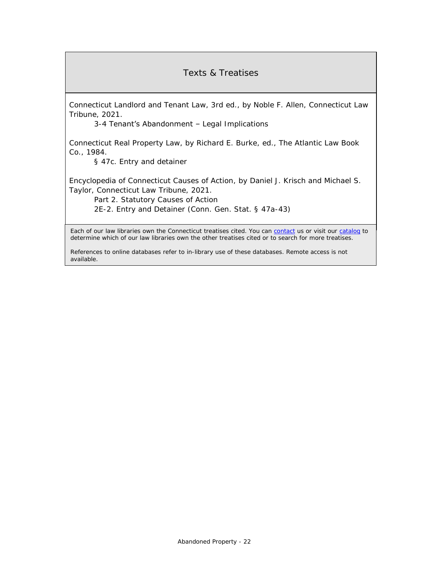## Texts & Treatises

*Connecticut Landlord and Tenant Law*, 3rd ed., by Noble F. Allen, Connecticut Law Tribune, 2021.

3-4 Tenant's Abandonment – Legal Implications

*Connecticut Real Property Law*, by Richard E. Burke, ed., The Atlantic Law Book Co., 1984.

§ 47c. Entry and detainer

*Encyclopedia of Connecticut Causes of Action*, by Daniel J. Krisch and Michael S. Taylor, Connecticut Law Tribune, 2021.

Part 2. Statutory Causes of Action

2E-2. Entry and Detainer (Conn. Gen. Stat. § 47a-43)

Each of our law libraries own the Connecticut treatises cited. You can [contact](https://www.jud.ct.gov/lawlib/staff.htm) us or visit our [catalog](https://www.jud.ct.gov/lawlib/searchcatalog.html) to determine which of our law libraries own the other treatises cited or to search for more treatises.

References to online databases refer to in-library use of these databases. Remote access is not available.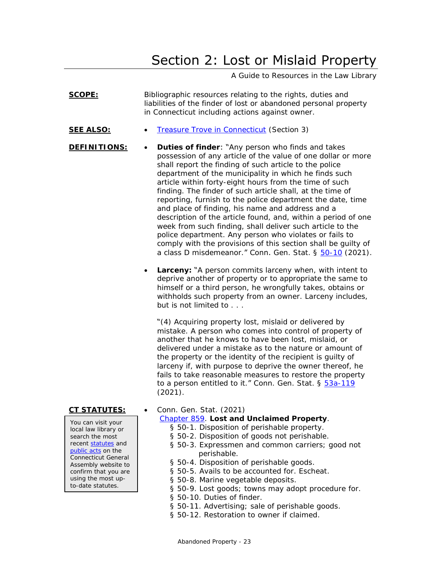# Section 2: Lost or Mislaid Property

A Guide to Resources in the Law Library

<span id="page-22-0"></span>

| SCOPE:                                                                                                                                                                                                                                      | Bibliographic resources relating to the rights, duties and<br>liabilities of the finder of lost or abandoned personal property<br>in Connecticut including actions against owner.                                                                                                                                                                                                                                                                                                                                                                                                                                                                                                                                                                                                                  |
|---------------------------------------------------------------------------------------------------------------------------------------------------------------------------------------------------------------------------------------------|----------------------------------------------------------------------------------------------------------------------------------------------------------------------------------------------------------------------------------------------------------------------------------------------------------------------------------------------------------------------------------------------------------------------------------------------------------------------------------------------------------------------------------------------------------------------------------------------------------------------------------------------------------------------------------------------------------------------------------------------------------------------------------------------------|
| <u>SEE ALSO:</u>                                                                                                                                                                                                                            | Treasure Trove in Connecticut (Section 3)                                                                                                                                                                                                                                                                                                                                                                                                                                                                                                                                                                                                                                                                                                                                                          |
| DEFINITIONS:                                                                                                                                                                                                                                | Duties of finder: "Any person who finds and takes<br>possession of any article of the value of one dollar or more<br>shall report the finding of such article to the police<br>department of the municipality in which he finds such<br>article within forty-eight hours from the time of such<br>finding. The finder of such article shall, at the time of<br>reporting, furnish to the police department the date, time<br>and place of finding, his name and address and a<br>description of the article found, and, within a period of one<br>week from such finding, shall deliver such article to the<br>police department. Any person who violates or fails to<br>comply with the provisions of this section shall be guilty of<br>a class D misdemeanor." Conn. Gen. Stat. § 50-10 (2021). |
|                                                                                                                                                                                                                                             | Larceny: "A person commits larceny when, with intent to<br>deprive another of property or to appropriate the same to<br>himself or a third person, he wrongfully takes, obtains or<br>withholds such property from an owner. Larceny includes,<br>but is not limited to                                                                                                                                                                                                                                                                                                                                                                                                                                                                                                                            |
|                                                                                                                                                                                                                                             | "(4) Acquiring property lost, mislaid or delivered by<br>mistake. A person who comes into control of property of<br>another that he knows to have been lost, mislaid, or<br>delivered under a mistake as to the nature or amount of<br>the property or the identity of the recipient is guilty of<br>larceny if, with purpose to deprive the owner thereof, he<br>fails to take reasonable measures to restore the property<br>to a person entitled to it." Conn. Gen. Stat. § 53a-119<br>(2021).                                                                                                                                                                                                                                                                                                  |
| CT STATUTES:<br>You can visit your<br>local law library or<br>search the most<br>recent statutes and<br>public acts on the<br>Connecticut General<br>Assembly website to<br>confirm that you are<br>using the most up-<br>to-date statutes. | Conn. Gen. Stat. (2021)<br>Chapter 859. Lost and Unclaimed Property.<br>§ 50-1. Disposition of perishable property.<br>§ 50-2. Disposition of goods not perishable.<br>§ 50-3. Expressmen and common carriers; good not<br>perishable.<br>§ 50-4. Disposition of perishable goods.<br>§ 50-5. Avails to be accounted for. Escheat.<br>§ 50-8. Marine vegetable deposits.<br>§ 50-9. Lost goods; towns may adopt procedure for.<br>§ 50-10. Duties of finder.                                                                                                                                                                                                                                                                                                                                       |

- § 50-11. Advertising; sale of perishable goods.
- § 50-12. Restoration to owner if claimed.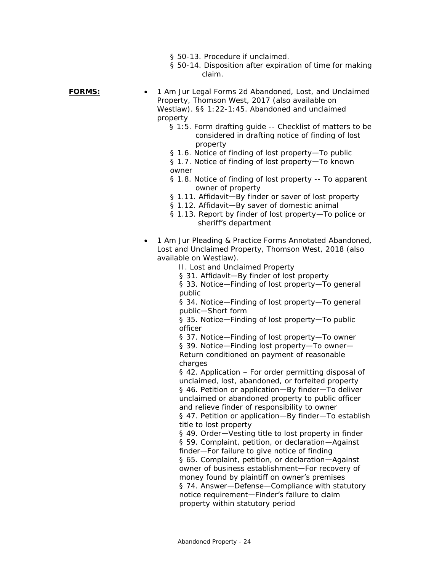- § 50-13. Procedure if unclaimed.
- § 50-14. Disposition after expiration of time for making claim.

- **FORMS:**  1 *Am Jur Legal Forms 2d* Abandoned, Lost, and Unclaimed Property, Thomson West, 2017 (also available on Westlaw). §§ 1:22-1:45. Abandoned and unclaimed property
	- § 1:5. Form drafting guide -- Checklist of matters to be considered in drafting notice of finding of lost property
	- § 1.6. Notice of finding of lost property—To public
	- § 1.7. Notice of finding of lost property—To known owner
	- § 1.8. Notice of finding of lost property -- To apparent owner of property
	- § 1.11. Affidavit—By finder or saver of lost property
	- § 1.12. Affidavit—By saver of domestic animal
	- § 1.13. Report by finder of lost property—To police or sheriff's department
	- 1 *Am Jur Pleading & Practice Forms Annotated* Abandoned, Lost and Unclaimed Property, Thomson West, 2018 (also available on Westlaw).
		- II. Lost and Unclaimed Property
		- § 31. Affidavit—By finder of lost property

§ 33. Notice—Finding of lost property—To general public

§ 34. Notice—Finding of lost property—To general public—Short form

§ 35. Notice—Finding of lost property—To public officer

§ 37. Notice—Finding of lost property—To owner § 39. Notice—Finding lost property—To owner— Return conditioned on payment of reasonable charges

§ 42. Application – For order permitting disposal of unclaimed, lost, abandoned, or forfeited property § 46. Petition or application—By finder—To deliver unclaimed or abandoned property to public officer and relieve finder of responsibility to owner

§ 47. Petition or application-By finder-To establish title to lost property

§ 49. Order—Vesting title to lost property in finder § 59. Complaint, petition, or declaration—Against finder—For failure to give notice of finding § 65. Complaint, petition, or declaration—Against owner of business establishment—For recovery of money found by plaintiff on owner's premises § 74. Answer—Defense—Compliance with statutory notice requirement-Finder's failure to claim property within statutory period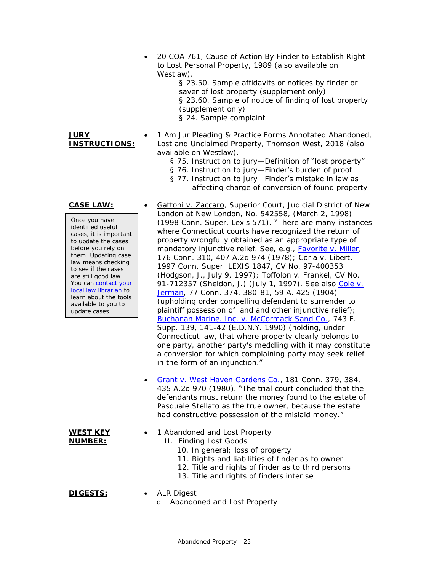• 20 *COA* 761, Cause of Action By Finder to Establish Right to Lost Personal Property, 1989 (also available on Westlaw).

> § 23.50. Sample affidavits or notices by finder or saver of lost property (supplement only) § 23.60. Sample of notice of finding of lost property (supplement only) § 24. Sample complaint

• 1 *Am Jur Pleading & Practice Forms Annotated* Abandoned, Lost and Unclaimed Property, Thomson West, 2018 (also available on Westlaw).

- § 75. Instruction to jury—Definition of "lost property"
- § 76. Instruction to jury-Finder's burden of proof

London at New London, No. 542558, (March 2, 1998) (1998 Conn. Super. Lexis 571). "There are many instances where Connecticut courts have recognized the return of property wrongfully obtained as an appropriate type of mandatory injunctive relief. See, e.g., *[Favorite v. Miller](https://scholar.google.com/scholar_case?case=116302456188550079)*, 176 Conn. 310, 407 A.2d 974 (1978); *Coria v. Libert*, 1997 Conn. Super. LEXIS 1847, CV No. 97-400353 (Hodgson, J., July 9, 1997); *Toffolon v. Frankel*, CV No. 91-712357 (Sheldon, J.) (July 1, 1997). See also *[Cole v.](https://cite.case.law/conn/77/374/)* 

*[Jerman](https://cite.case.law/conn/77/374/)*, 77 Conn. 374, 380-81, 59 A. 425 (1904) (upholding order compelling defendant to surrender to plaintiff possession of land and other injunctive relief); *[Buchanan Marine. Inc. v. McCormack Sand Co.,](https://scholar.google.com/scholar_case?case=7869493460135048490)* 743 F. Supp. 139, 141-42 (E.D.N.Y. 1990) (holding, under Connecticut law, that where property clearly belongs to one party, another party's meddling with it may constitute a conversion for which complaining party may seek relief

• [Grant v. West Haven Gardens Co.,](https://scholar.google.com/scholar_case?case=15210917148639241451) 181 Conn. 379, 384, 435 A.2d 970 (1980). "The trial court concluded that the defendants must return the money found to the estate of Pasquale Stellato as the true owner, because the estate had constructive possession of the mislaid money."

§ 77. Instruction to jury-Finder's mistake in law as affecting charge of conversion of found property

### **CASE LAW:** • Gattoni v. Zaccaro, Superior Court, Judicial District of New

**INSTRUCTIONS:**

**JURY** 

Once you have identified useful cases, it is important to update the cases before you rely on them. Updating case law means checking to see if the cases are still good law. You can contact your [local law librarian](https://www.jud.ct.gov/lawlib/staff.htm) to learn about the tools available to you to update cases.

**WEST KEY NUMBER:**

1 Abandoned and Lost Property II. Finding Lost Goods

in the form of an injunction."

- 10. In general; loss of property
- 11. Rights and liabilities of finder as to owner
- 12. Title and rights of finder as to third persons
- 13. Title and rights of finders inter se

- **DIGESTS:**  ALR Digest
	- o Abandoned and Lost Property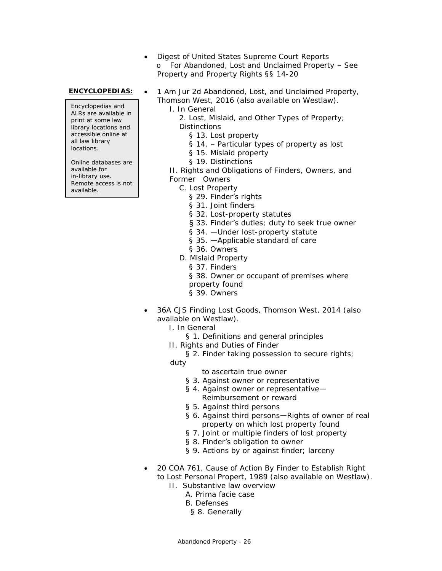• Digest of United States Supreme Court Reports o For Abandoned, Lost and Unclaimed Property – See Property and Property Rights §§ 14-20

Encyclopedias and ALRs are available in print at some law library locations and accessible online at all law library locations.

Online databases are available for in-library use. Remote access is not available.

- **ENCYCLOPEDIAS:** 1 *Am Jur 2d* Abandoned, Lost, and Unclaimed Property, Thomson West, 2016 (also available on Westlaw).
	- I. In General

2. Lost, Mislaid, and Other Types of Property; **Distinctions** 

- § 13. Lost property
- § 14. Particular types of property as lost
- § 15. Mislaid property
- § 19. Distinctions

II. Rights and Obligations of Finders, Owners, and Former Owners

- C. Lost Property
	- § 29. Finder's rights
	- § 31. Joint finders
	- § 32. Lost-property statutes
	- § 33. Finder's duties; duty to seek true owner
	- § 34. Under lost-property statute
	- § 35. —Applicable standard of care
	- § 36. Owners
- D. Mislaid Property
	- § 37. Finders
	- § 38. Owner or occupant of premises where
	- property found
	- § 39. Owners
- 36A *CJS* Finding Lost Goods, Thomson West, 2014 (also available on Westlaw).
	- I. In General
		- § 1. Definitions and general principles
	- II. Rights and Duties of Finder
		- § 2. Finder taking possession to secure rights;

duty

- to ascertain true owner
- § 3. Against owner or representative
- § 4. Against owner or representative-Reimbursement or reward
- § 5. Against third persons
- § 6. Against third persons—Rights of owner of real property on which lost property found
- § 7. Joint or multiple finders of lost property
- § 8. Finder's obligation to owner
- § 9. Actions by or against finder; larceny
- 20 *COA* 761, Cause of Action By Finder to Establish Right to Lost Personal Propert, 1989 (also available on Westlaw).
	- II. Substantive law overview
		- A. Prima facie case
			- B. Defenses
			- § 8. Generally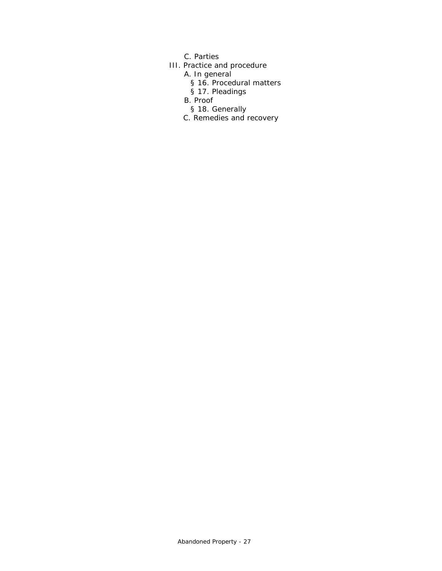- C. Parties
- III. Practice and procedure
	- A. In general
		- § 16. Procedural matters
		- § 17. Pleadings
	- B. Proof
		- § 18. Generally
	- C. Remedies and recovery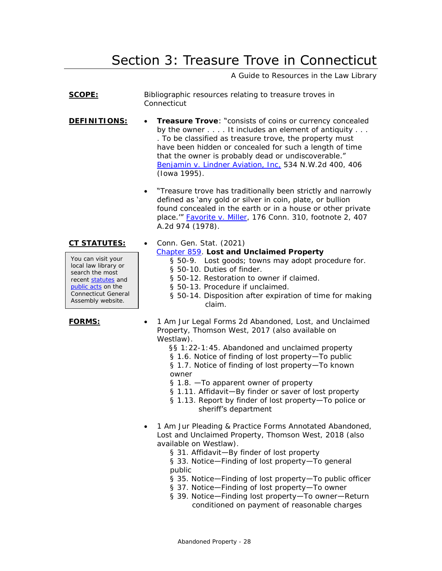# Section 3: Treasure Trove in Connecticut

A Guide to Resources in the Law Library

- <span id="page-27-0"></span>**SCOPE:** Bibliographic resources relating to treasure troves in Connecticut
- **DEFINITIONS: Treasure Trove**: "consists of coins or currency concealed by the owner . . . . It includes an element of antiquity . . . . To be classified as treasure trove, the property must have been hidden or concealed for such a length of time that the owner is probably dead or undiscoverable." [Benjamin v. Lindner Aviation, Inc,](https://scholar.google.com/scholar_case?case=9449484260649426626) 534 N.W.2d 400, 406 (Iowa 1995).
	- "Treasure trove has traditionally been strictly and narrowly defined as 'any gold or silver in coin, plate, or bullion found concealed in the earth or in a house or other private place." [Favorite v. Miller,](https://scholar.google.com/scholar_case?case=116302456188550079) 176 Conn. 310, footnote 2, 407 A.2d 974 (1978).

You can visit your local law library or search the most recent [statutes](https://search.cga.state.ct.us/r/statute/) and [public acts](https://search.cga.state.ct.us/r/adv/dtsearch_form.asp) on the Connecticut General Assembly website.

**CT STATUTES:** • Conn. Gen. Stat. (2021)

[Chapter 859.](https://www.cga.ct.gov/current/pub/chap_859.htm) **Lost and Unclaimed Property**

- § 50-9. Lost goods; towns may adopt procedure for.
- § 50-10. Duties of finder.
- § 50-12. Restoration to owner if claimed.
- § 50-13. Procedure if unclaimed.
- § 50-14. Disposition after expiration of time for making claim.
- **FORMS:**  1 *Am Jur Legal Forms 2d* Abandoned, Lost, and Unclaimed Property, Thomson West, 2017 (also available on Westlaw).
	- §§ 1:22-1:45. Abandoned and unclaimed property
	- § 1.6. Notice of finding of lost property-To public
	- § 1.7. Notice of finding of lost property—To known owner
	- § 1.8. —To apparent owner of property
	- § 1.11. Affidavit—By finder or saver of lost property
	- § 1.13. Report by finder of lost property-To police or

### sheriff's department

- 1 *Am Jur Pleading & Practice Forms Annotated* Abandoned, Lost and Unclaimed Property, Thomson West, 2018 (also available on Westlaw).
	- § 31. Affidavit—By finder of lost property
	- § 33. Notice—Finding of lost property—To general public
	- § 35. Notice—Finding of lost property—To public officer
	- § 37. Notice—Finding of lost property—To owner
	- § 39. Notice—Finding lost property—To owner—Return conditioned on payment of reasonable charges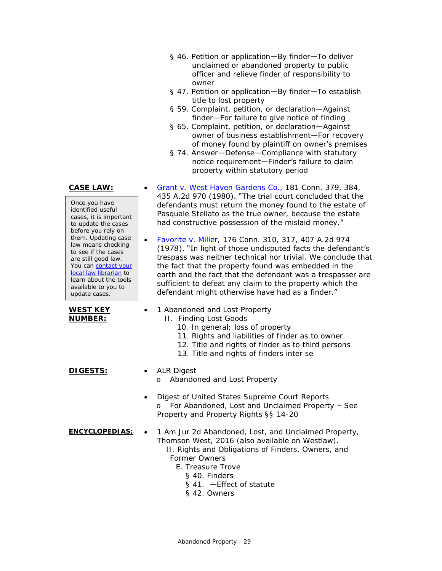- § 46. Petition or application—By finder—To deliver unclaimed or abandoned property to public officer and relieve finder of responsibility to owner
- § 47. Petition or application—By finder—To establish title to lost property
- § 59. Complaint, petition, or declaration—Against finder—For failure to give notice of finding
- § 65. Complaint, petition, or declaration—Against owner of business establishment—For recovery of money found by plaintiff on owner's premises
- § 74. Answer—Defense—Compliance with statutory notice requirement—Finder's failure to claim property within statutory period

435 A.2d 970 (1980). "The trial court concluded that the defendants must return the money found to the estate of Pasquale Stellato as the true owner, because the estate had constructive possession of the mislaid money."

(1978). "In light of those undisputed facts the defendant's trespass was neither technical nor trivial. We conclude that the fact that the property found was embedded in the earth and the fact that the defendant was a trespasser are sufficient to defeat any claim to the property which the defendant might otherwise have had as a finder."

### **CASE LAW:** • [Grant v. West Haven Gardens Co.,](https://scholar.google.com/scholar_case?case=15210917148639241451) 181 Conn. 379, 384,

Once you have identified useful cases, it is important to update the cases before you rely on them. Updating case law means checking to see if the cases are still good law. You can contact your [local law librarian](https://www.jud.ct.gov/lawlib/staff.htm) to learn about the tools available to you to update cases.

**WEST KEY NUMBER:**

- 
- II. Finding Lost Goods

1 Abandoned and Lost Property

- 10. In general; loss of property
- 11. Rights and liabilities of finder as to owner
- 12. Title and rights of finder as to third persons
- 13. Title and rights of finders inter se

• [Favorite v. Miller,](https://scholar.google.com/scholar_case?case=116302456188550079) 176 Conn. 310, 317, 407 A.2d 974

### **DIGESTS:** • ALR Digest

o Abandoned and Lost Property

• Digest of United States Supreme Court Reports o For Abandoned, Lost and Unclaimed Property – See Property and Property Rights §§ 14-20

- **ENCYCLOPEDIAS:** 1 *Am Jur 2d* Abandoned, Lost, and Unclaimed Property, Thomson West, 2016 (also available on Westlaw).
	- II. Rights and Obligations of Finders, Owners, and Former Owners
		- E. Treasure Trove
			- § 40. Finders
			- § 41. —Effect of statute
			- § 42. Owners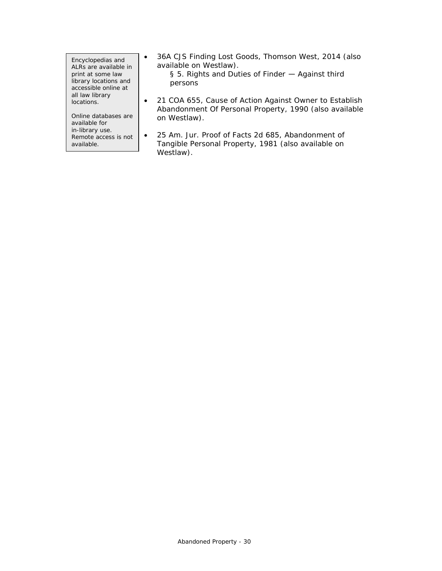Encyclopedias and ALRs are available in print at some law library locations and accessible online at all law library locations.

Online databases are available for in-library use. Remote access is not available.

• 36A *CJS* Finding Lost Goods, Thomson West, 2014 (also available on Westlaw).

> § 5. Rights and Duties of Finder - Against third persons

- 21 *COA* 655, Cause of Action Against Owner to Establish Abandonment Of Personal Property, 1990 (also available on Westlaw).
- 25 *Am. Jur. Proof of Facts 2d* 685, Abandonment of Tangible Personal Property, 1981 (also available on Westlaw).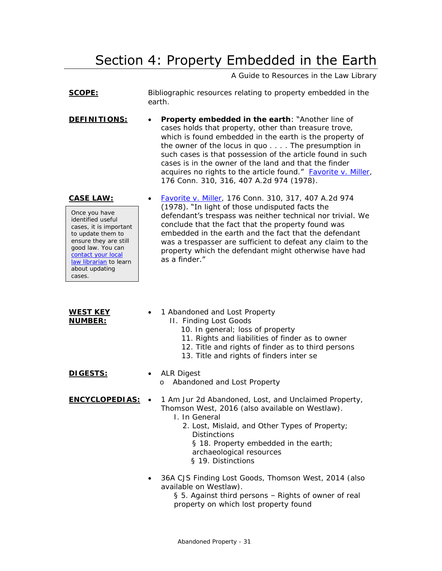# Section 4: Property Embedded in the Earth

A Guide to Resources in the Law Library

<span id="page-30-0"></span>

|                                                                                                                                                                                                                                 | A Guide to Resources in the Law Library                                                                                                                                                                                                                                                                                                                                                                                                                      |
|---------------------------------------------------------------------------------------------------------------------------------------------------------------------------------------------------------------------------------|--------------------------------------------------------------------------------------------------------------------------------------------------------------------------------------------------------------------------------------------------------------------------------------------------------------------------------------------------------------------------------------------------------------------------------------------------------------|
| <u>SCOPE:</u>                                                                                                                                                                                                                   | Bibliographic resources relating to property embedded in the<br>earth.                                                                                                                                                                                                                                                                                                                                                                                       |
| DEFINITIONS:                                                                                                                                                                                                                    | Property embedded in the earth: "Another line of<br>cases holds that property, other than treasure trove,<br>which is found embedded in the earth is the property of<br>the owner of the locus in quo The presumption in<br>such cases is that possession of the article found in such<br>cases is in the owner of the land and that the finder<br>acquires no rights to the article found." Favorite v. Miller,<br>176 Conn. 310, 316, 407 A.2d 974 (1978). |
| <b>CASE LAW:</b><br>Once you have<br>identified useful<br>cases, it is important<br>to update them to<br>ensure they are still<br>good law. You can<br>contact your local<br>law librarian to learn<br>about updating<br>cases. | Favorite v. Miller, 176 Conn. 310, 317, 407 A.2d 974<br>(1978). "In light of those undisputed facts the<br>defendant's trespass was neither technical nor trivial. We<br>conclude that the fact that the property found was<br>embedded in the earth and the fact that the defendant<br>was a trespasser are sufficient to defeat any claim to the<br>property which the defendant might otherwise have had<br>as a finder."                                 |
| <b>WEST KEY</b><br><u>NUMBER:</u>                                                                                                                                                                                               | 1 Abandoned and Lost Property<br>II. Finding Lost Goods<br>10. In general; loss of property<br>11. Rights and liabilities of finder as to owner<br>12. Title and rights of finder as to third persons<br>13. Title and rights of finders inter se                                                                                                                                                                                                            |
| DI GESTS:                                                                                                                                                                                                                       | <b>ALR Digest</b><br>Abandoned and Lost Property<br>O                                                                                                                                                                                                                                                                                                                                                                                                        |
| <u>ENCYCLOPEDIAS:</u>                                                                                                                                                                                                           | 1 Am Jur 2d Abandoned, Lost, and Unclaimed Property,<br>Thomson West, 2016 (also available on Westlaw).<br>I. In General<br>2. Lost, Mislaid, and Other Types of Property;<br><b>Distinctions</b><br>§ 18. Property embedded in the earth;<br>archaeological resources<br>§ 19. Distinctions                                                                                                                                                                 |
|                                                                                                                                                                                                                                 | 36A CJS Finding Lost Goods, Thomson West, 2014 (also<br>available on Westlaw).<br>§ 5. Against third persons - Rights of owner of real<br>property on which lost property found                                                                                                                                                                                                                                                                              |
|                                                                                                                                                                                                                                 |                                                                                                                                                                                                                                                                                                                                                                                                                                                              |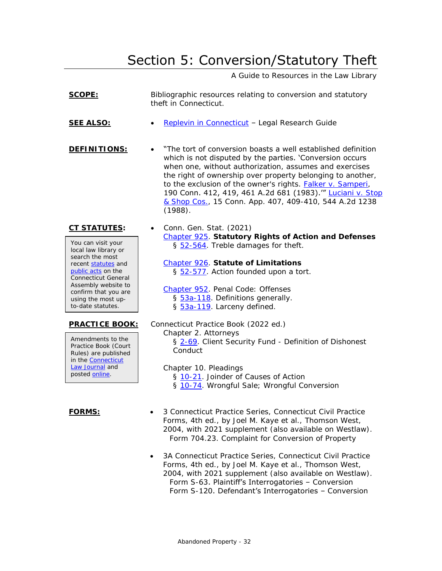# Section 5: Conversion/Statutory Theft

A Guide to Resources in the Law Library

<span id="page-31-0"></span>

| SCOPE:                                                                                                                                                                                                                                             | Bibliographic resources relating to conversion and statutory<br>theft in Connecticut.                                                                                                                                                                                                                                                                                                                                                                    |
|----------------------------------------------------------------------------------------------------------------------------------------------------------------------------------------------------------------------------------------------------|----------------------------------------------------------------------------------------------------------------------------------------------------------------------------------------------------------------------------------------------------------------------------------------------------------------------------------------------------------------------------------------------------------------------------------------------------------|
| <b>SEE ALSO:</b>                                                                                                                                                                                                                                   | Replevin in Connecticut - Legal Research Guide                                                                                                                                                                                                                                                                                                                                                                                                           |
| DEFINITIONS:                                                                                                                                                                                                                                       | "The tort of conversion boasts a well established definition<br>which is not disputed by the parties. 'Conversion occurs<br>when one, without authorization, assumes and exercises<br>the right of ownership over property belonging to another,<br>to the exclusion of the owner's rights. <b>Falker v. Samperi</b> ,<br>190 Conn. 412, 419, 461 A.2d 681 (1983)." Luciani v. Stop<br>& Shop Cos., 15 Conn. App. 407, 409-410, 544 A.2d 1238<br>(1988). |
| <u>CT STATUTES:</u><br>You can visit your<br>local law library or<br>search the most<br>recent statutes and<br>public acts on the<br>Connecticut General<br>Assembly website to<br>confirm that you are<br>using the most up-<br>to-date statutes. | Conn. Gen. Stat. (2021)<br>Chapter 925. Statutory Rights of Action and Defenses<br>§ 52-564. Treble damages for theft.                                                                                                                                                                                                                                                                                                                                   |
|                                                                                                                                                                                                                                                    | Chapter 926. Statute of Limitations<br>§ 52-577. Action founded upon a tort.                                                                                                                                                                                                                                                                                                                                                                             |
|                                                                                                                                                                                                                                                    | Chapter 952. Penal Code: Offenses<br>§ 53a-118. Definitions generally.<br>§ 53a-119. Larceny defined.                                                                                                                                                                                                                                                                                                                                                    |
| <b>PRACTICE BOOK:</b><br>Amendments to the<br>Practice Book (Court<br>Rules) are published<br>in the <b>Connecticut</b><br>Law Journal and<br>posted online.                                                                                       | Connecticut Practice Book (2022 ed.)<br>Chapter 2. Attorneys<br>§ 2-69. Client Security Fund - Definition of Dishonest<br>Conduct                                                                                                                                                                                                                                                                                                                        |
|                                                                                                                                                                                                                                                    | Chapter 10. Pleadings<br>§ 10-21. Joinder of Causes of Action<br>§ 10-74. Wrongful Sale; Wrongful Conversion                                                                                                                                                                                                                                                                                                                                             |
| FORMS:                                                                                                                                                                                                                                             | 3 Connecticut Practice Series, Connecticut Civil Practice<br>Forms, 4th ed., by Joel M. Kaye et al., Thomson West,<br>2004, with 2021 supplement (also available on Westlaw).<br>Form 704.23. Complaint for Conversion of Property                                                                                                                                                                                                                       |
|                                                                                                                                                                                                                                                    | 20 Connecticut Dractice Series Connecticut Civil Dractice                                                                                                                                                                                                                                                                                                                                                                                                |

• 3A Connecticut Practice Series, *Connecticut Civil Practice Forms*, 4th ed., by Joel M. Kaye et al., Thomson West, 2004, with 2021 supplement (also available on Westlaw). Form S-63. Plaintiff's Interrogatories – Conversion Form S-120. Defendant's Interrogatories – Conversion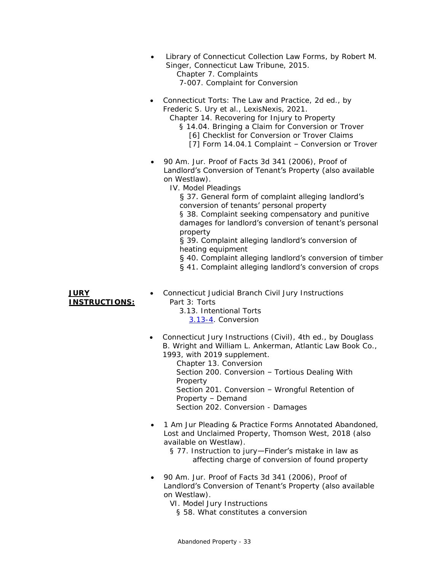- *Library of Connecticut Collection Law Forms*, by Robert M. Singer, Connecticut Law Tribune, 2015. Chapter 7. Complaints 7-007. Complaint for Conversion
- *Connecticut Torts: The Law and Practice*, 2d ed., by Frederic S. Ury et al., LexisNexis, 2021.

Chapter 14. Recovering for Injury to Property § 14.04. Bringing a Claim for Conversion or Trover [6] Checklist for Conversion or Trover Claims

- [7] Form 14.04.1 Complaint Conversion or Trover
- 90 *Am. Jur. Proof of Facts 3d* 341 (2006), Proof of Landlord's Conversion of Tenant's Property (also available on Westlaw).
	- IV. Model Pleadings

§ 37. General form of complaint alleging landlord's conversion of tenants' personal property § 38. Complaint seeking compensatory and punitive damages for landlord's conversion of tenant's personal property

§ 39. Complaint alleging landlord's conversion of heating equipment

§ 40. Complaint alleging landlord's conversion of timber

§ 41. Complaint alleging landlord's conversion of crops

- **JURY INSTRUCTIONS:**
- *Connecticut Judicial Branch Civil Jury Instructions* Part 3: Torts
	- 3.13. Intentional Torts [3.13-4.](http://www.jud.ct.gov/JI/Civil/Civil.pdf#page=304) Conversion
- *Connecticut Jury Instructions (Civil)*, 4th ed., by Douglass B. Wright and William L. Ankerman, Atlantic Law Book Co., 1993, with 2019 supplement.

Chapter 13. Conversion Section 200. Conversion – Tortious Dealing With Property Section 201. Conversion – Wrongful Retention of Property – Demand Section 202. Conversion - Damages

- 1 *Am Jur Pleading & Practice Forms Annotated* Abandoned, Lost and Unclaimed Property, Thomson West, 2018 (also available on Westlaw).
	- § 77. Instruction to jury—Finder's mistake in law as affecting charge of conversion of found property
- 90 *Am. Jur. Proof of Facts 3d* 341 (2006), Proof of Landlord's Conversion of Tenant's Property (also available on Westlaw).
	- VI. Model Jury Instructions
		- § 58. What constitutes a conversion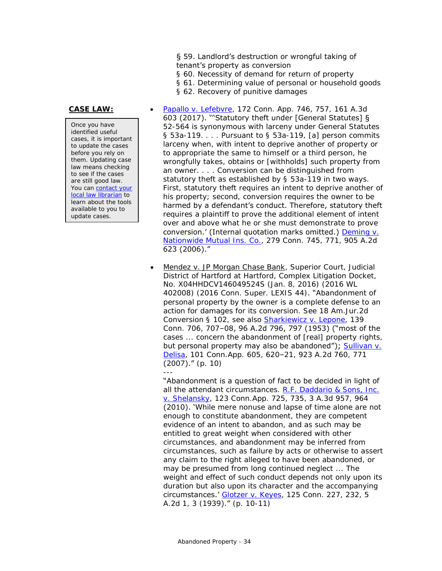### § 59. Landlord's destruction or wrongful taking of tenant's property as conversion

- § 60. Necessity of demand for return of property
- § 61. Determining value of personal or household goods
- § 62. Recovery of punitive damages

Once you have identified useful cases, it is important to update the cases before you rely on them. Updating case law means checking to see if the cases are still good law. You can contact your [local law librarian](https://www.jud.ct.gov/lawlib/staff.htm) to learn about the tools available to you to update cases.

- **CASE LAW:** [Papallo v. Lefebvre,](https://scholar.google.com/scholar_case?case=1871811459531734167) 172 Conn. App. 746, 757, 161 A.3d 603 (2017). '''Statutory theft under [General Statutes] § 52-564 is synonymous with larceny under General Statutes  $\S$  53a-119.  $\ldots$  Pursuant to  $\S$  53a-119, [a] person commits larceny when, with intent to deprive another of property or to appropriate the same to himself or a third person, he wrongfully takes, obtains or [withholds] such property from an owner. . . . Conversion can be distinguished from statutory theft as established by § 53a-119 in two ways. First, statutory theft requires an intent to deprive another of his property; second, conversion requires the owner to be harmed by a defendant's conduct. Therefore, statutory theft requires a plaintiff to prove the additional element of intent over and above what he or she must demonstrate to prove conversion.' (Internal quotation marks omitted.) *[Deming](https://scholar.google.com/scholar_case?case=3945514691579972788)* v. *Nationwide [Mutual Ins. Co.](https://scholar.google.com/scholar_case?case=3945514691579972788)*, 279 Conn. 745, 771, 905 A.2d 623 (2006)."
	- Mendez v. JP Morgan Chase Bank, Superior Court, Judicial District of Hartford at Hartford, Complex Litigation Docket, No. X04HHDCV146049524S (Jan. 8, 2016) (2016 WL 402008) (2016 Conn. Super. LEXIS 44). "Abandonment of personal property by the owner is a complete defense to an action for damages for its conversion. See 18 Am.Jur.2d Conversion § 102, see also *[Sharkiewicz v. Lepone](https://scholar.google.com/scholar_case?case=5228715769964730786)*, 139 Conn. 706, 707–08, 96 A.2d 796, 797 (1953) ("most of the cases ... concern the abandonment of [real] property rights, but personal property may also be abandoned"); *[Sullivan v.](https://scholar.google.com/scholar_case?case=10573856257055624821)  [Delisa](https://scholar.google.com/scholar_case?case=10573856257055624821)*, 101 Conn.App. 605, 620–21, 923 A.2d 760, 771 (2007)." (p. 10)

--- "Abandonment is a question of fact to be decided in light of all the attendant circumstances. *[R.F. Daddario & Sons, Inc.](https://scholar.google.com/scholar_case?case=4832203243088856610)  [v. Shelansky](https://scholar.google.com/scholar_case?case=4832203243088856610)*, 123 Conn.App. 725, 735, 3 A.3d 957, 964 (2010). 'While mere nonuse and lapse of time alone are not enough to constitute abandonment, they are competent evidence of an intent to abandon, and as such may be entitled to great weight when considered with other circumstances, and abandonment may be inferred from circumstances, such as failure by acts or otherwise to assert any claim to the right alleged to have been abandoned, or may be presumed from long continued neglect ... The weight and effect of such conduct depends not only upon its duration but also upon its character and the accompanying circumstances.' *[Glotzer v. Keyes](https://cite.case.law/conn/125/227/)*, 125 Conn. 227, 232, 5 A.2d 1, 3 (1939)." (p. 10-11)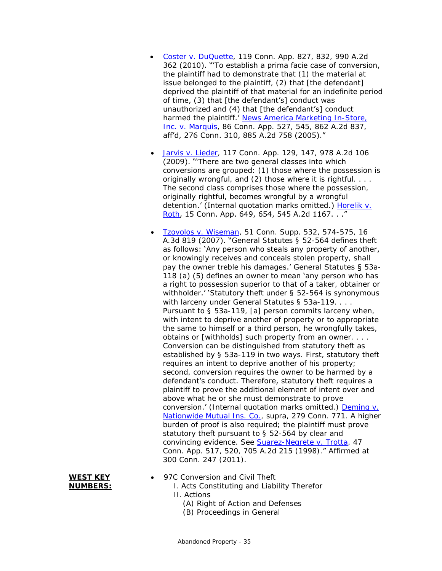- [Coster v. DuQuette,](https://scholar.google.com/scholar_case?case=5615633742163063052) 119 Conn. App. 827, 832, 990 A.2d 362 (2010). "'To establish a prima facie case of conversion, the plaintiff had to demonstrate that (1) the material at issue belonged to the plaintiff, (2) that [the defendant] deprived the plaintiff of that material for an indefinite period of time, (3) that [the defendant's] conduct was unauthorized and (4) that [the defendant's] conduct harmed the plaintiff.' *[News America Marketing In-Store,](https://scholar.google.com/scholar_case?case=12748235486566850370)  Inc*. v. *[Marquis](https://scholar.google.com/scholar_case?case=12748235486566850370)*, 86 Conn. App. 527, 545, 862 A.2d 837, aff'd, 276 Conn. 310, 885 A.2d 758 (2005)."
- [Jarvis v. Lieder,](https://scholar.google.com/scholar_case?case=11353502670325622838) 117 Conn. App. 129, 147, 978 A.2d 106 (2009). "'There are two general classes into which conversions are grouped: (1) those where the possession is originally wrongful, and (2) those where it is rightful. . . . The second class comprises those where the possession, originally rightful, becomes wrongful by a wrongful detention.' (Internal quotation marks omitted.) *[Horelik](https://scholar.google.com/scholar_case?case=17398751917577441156)* v. *[Roth](https://scholar.google.com/scholar_case?case=17398751917577441156)*, 15 Conn. App. 649, 654, 545 A.2d 1167. . ."
- [Tzovolos v. Wiseman,](https://cite.case.law/conn-supp/51/532/) 51 Conn. Supp. 532, 574-575, 16 A.3d 819 (2007). "General Statutes § 52-564 defines theft as follows: 'Any person who steals any property of another, or knowingly receives and conceals stolen property, shall pay the owner treble his damages.' General Statutes § 53a-118 (a) (5) defines an owner to mean 'any person who has a right to possession superior to that of a taker, obtainer or withholder.' 'Statutory theft under § 52-564 is synonymous with larceny under General Statutes § 53a-119. . . . Pursuant to § 53a-119, [a] person commits larceny when, with intent to deprive another of property or to appropriate the same to himself or a third person, he wrongfully takes, obtains or [withholds] such property from an owner. . . . Conversion can be distinguished from statutory theft as established by § 53a-119 in two ways. First, statutory theft requires an intent to deprive another of his property; second, conversion requires the owner to be harmed by a defendant's conduct. Therefore, statutory theft requires a plaintiff to prove the additional element of intent over and above what he or she must demonstrate to prove conversion.' (Internal quotation marks omitted.) *[Deming v.](https://scholar.google.com/scholar_case?case=3945514691579972788)  [Nationwide Mutual Ins. Co.](https://scholar.google.com/scholar_case?case=3945514691579972788)*, supra, 279 Conn. 771. A higher bured; the plaintiff must prove  $§ 52-564$  by clear and convincing evidence. See *[Suarez-Negrete v. Trotta](https://scholar.google.com/scholar_case?case=1276279379299603810)*, 47 A. 2d 215 (1998)." Affirmed at 300 Conn. 247 (2011).

|    | <u>Nationwide Mutual Ins. Co.</u> |
|----|-----------------------------------|
|    | burden of proof is also requ      |
|    | statutory theft pursuant to       |
|    | convincing evidence. See S        |
|    | Conn. App. 517, 520, 705 /        |
|    | 300 Conn. 247 (2011).             |
|    |                                   |
| ΈV | 07C Conversion and Civil T        |

| WFST.          |  |
|----------------|--|
| <b>NUMBERS</b> |  |

- 97C Conversion and Civil Theft
	- I. Acts Constituting and Liability Therefor II. Actions
		- (A) Right of Action and Defenses
		- (B) Proceedings in General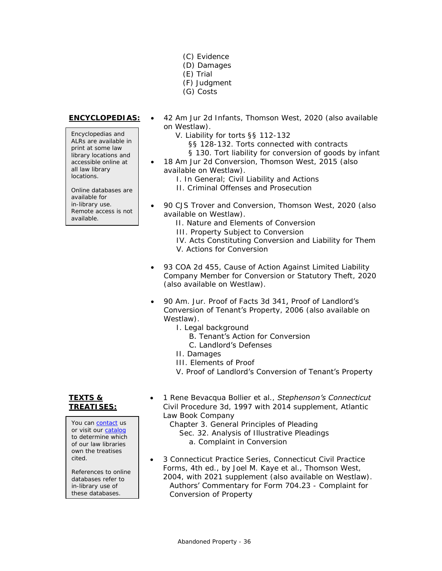- (C) Evidence
- (D) Damages
- (E) Trial
- (F) Judgment
- (G) Costs

Encyclopedias and ALRs are available in print at some law library locations and accessible online at all law library locations.

Online databases are available for in-library use. Remote access is not available.

- **ENCYCLOPEDIAS:** 42 *Am Jur 2d* Infants, Thomson West, 2020 (also available on Westlaw).
	- V. Liability for torts §§ 112-132
		- §§ 128-132. Torts connected with contracts
		- § 130. Tort liability for conversion of goods by infant
	- 18 *Am Jur 2d* Conversion, Thomson West, 2015 (also available on Westlaw).
		- I. In General; Civil Liability and Actions
		- II. Criminal Offenses and Prosecution
	- 90 *CJS* Trover and Conversion, Thomson West, 2020 (also available on Westlaw).
		- II. Nature and Elements of Conversion
		- III. Property Subject to Conversion
		- IV. Acts Constituting Conversion and Liability for Them V. Actions for Conversion
	- 93 *COA* 2d 455, Cause of Action Against Limited Liability Company Member for Conversion or Statutory Theft, 2020 (also available on Westlaw).
	- 90 *Am. Jur. Proof of Facts 3d* 341, Proof of Landlord's Conversion of Tenant's Property, 2006 (also available on Westlaw).
		- I. Legal background
			- B. Tenant's Action for Conversion
			- C. Landlord's Defenses
		- II. Damages
		- III. Elements of Proof
		- V. Proof of Landlord's Conversion of Tenant's Property

### **TEXTS & TREATISES:**

You can [contact](https://www.jud.ct.gov/lawlib/staff.htm) us or visit our [catalog](https://www.jud.ct.gov/lawlib/searchcatalog.html) to determine which of our law libraries own the treatises cited.

References to online databases refer to in-library use of these databases.

- 1 Rene Bevacqua Bollier et al., *Stephenson's Connecticut Civil Procedure 3d*, 1997 with 2014 supplement, Atlantic Law Book Company
	- Chapter 3. General Principles of Pleading Sec. 32. Analysis of Illustrative Pleadings a. Complaint in Conversion
- 3 Connecticut Practice Series, *Connecticut Civil Practice Forms*, 4th ed., by Joel M. Kaye et al., Thomson West, 2004, with 2021 supplement (also available on Westlaw). Authors' Commentary for Form 704.23 - Complaint for Conversion of Property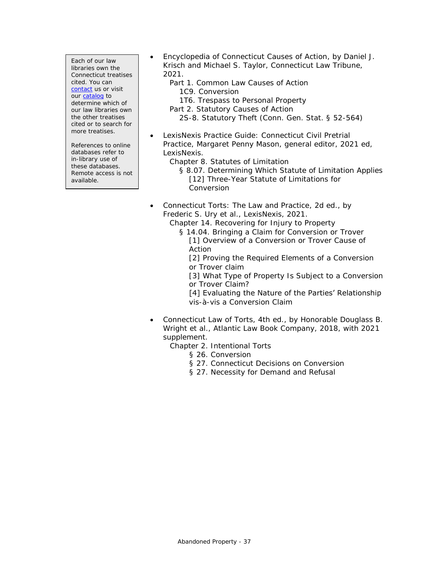Each of our law libraries own the Connecticut treatises cited. You can [contact](https://www.jud.ct.gov/lawlib/staff.htm) us or visit ou[r catalog](https://www.jud.ct.gov/lawlib/searchcatalog.html) to determine which of our law libraries own the other treatises cited or to search for more treatises.

References to online databases refer to in-library use of these databases. Remote access is not available.

- *Encyclopedia of Connecticut Causes of Action*, by Daniel J. Krisch and Michael S. Taylor, Connecticut Law Tribune, 2021.
	- Part 1. Common Law Causes of Action 1C9. Conversion
		- 1T6. Trespass to Personal Property
	- Part 2. Statutory Causes of Action
		- 2S-8. Statutory Theft (Conn. Gen. Stat. § 52-564)
- *LexisNexis Practice Guide: Connecticut Civil Pretrial Practice*, Margaret Penny Mason, general editor, 2021 ed, LexisNexis.
	- Chapter 8. Statutes of Limitation
		- § 8.07. Determining Which Statute of Limitation Applies [12] Three-Year Statute of Limitations for Conversion
- *Connecticut Torts: The Law and Practice*, 2d ed., by Frederic S. Ury et al., LexisNexis, 2021.

Chapter 14. Recovering for Injury to Property

§ 14.04. Bringing a Claim for Conversion or Trover [1] Overview of a Conversion or Trover Cause of Action

[2] Proving the Required Elements of a Conversion or Trover claim

[3] What Type of Property Is Subject to a Conversion or Trover Claim?

[4] Evaluating the Nature of the Parties' Relationship vis-à-vis a Conversion Claim

- *Connecticut Law of Torts*, 4th ed., by Honorable Douglass B. Wright et al., Atlantic Law Book Company, 2018, with 2021 supplement.
	- Chapter 2. Intentional Torts
		- § 26. Conversion
		- § 27. Connecticut Decisions on Conversion
		- § 27. Necessity for Demand and Refusal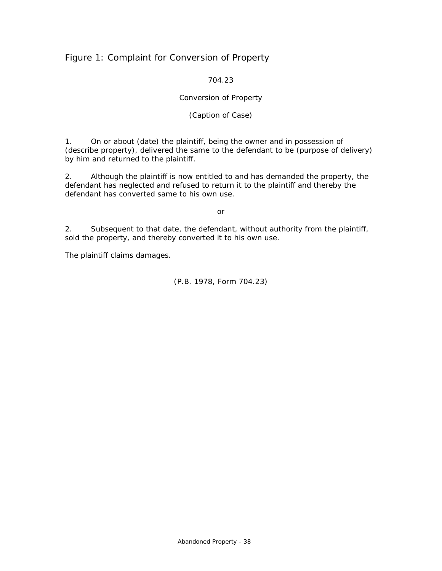## <span id="page-37-0"></span>Figure 1: Complaint for Conversion of Property

704.23

### Conversion of Property

### (Caption of Case)

1. On or about (date) the plaintiff, being the owner and in possession of (describe property), delivered the same to the defendant to be (purpose of delivery) by him and returned to the plaintiff.

2. Although the plaintiff is now entitled to and has demanded the property, the defendant has neglected and refused to return it to the plaintiff and thereby the defendant has converted same to his own use.

### *or*

2. Subsequent to that date, the defendant, without authority from the plaintiff, sold the property, and thereby converted it to his own use.

The plaintiff claims damages.

(P.B. 1978, Form 704.23)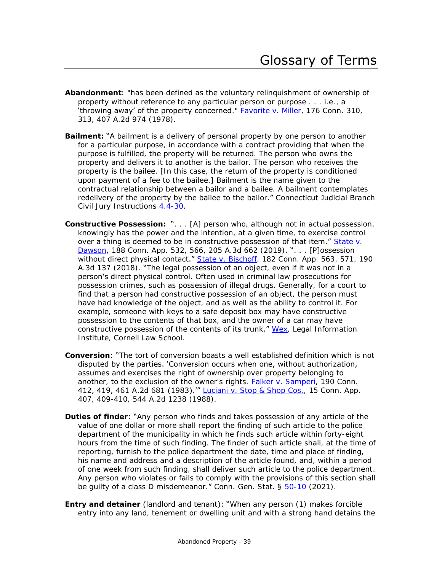- <span id="page-38-0"></span>**Abandonment**: "has been defined as the voluntary relinquishment of ownership of property without reference to any particular person or purpose . . . i.e., a 'throwing away' of the property concerned." **Favorite v. Miller**, 176 Conn. 310, 313, 407 A.2d 974 (1978).
- **Bailment:** "A bailment is a delivery of personal property by one person to another for a particular purpose, in accordance with a contract providing that when the purpose is fulfilled, the property will be returned. The person who owns the property and delivers it to another is the bailor. The person who receives the property is the bailee. [In this case, the return of the property is conditioned upon payment of a fee to the bailee.] Bailment is the name given to the contractual relationship between a bailor and a bailee. A bailment contemplates redelivery of the property by the bailee to the bailor." Connecticut Judicial Branch Civil Jury Instructions [4.4-30.](https://www.jud.ct.gov/JI/Civil/Civil.pdf#page=441)
- **Constructive Possession:** ". . . [A] person who, although not in actual possession, knowingly has the power and the intention, at a given time, to exercise control over a thing is deemed to be in constructive possession of that item." State v. [Dawson,](https://scholar.google.com/scholar_case?case=14954346666958918388) 188 Conn. App. 532, 566, 205 A.3d 662 (2019). "... [P]ossession without direct physical contact." [State v. Bischoff,](https://scholar.google.com/scholar_case?case=11686468354023560255) 182 Conn. App. 563, 571, 190 A.3d 137 (2018). "The legal possession of an object, even if it was not in a person's direct physical control. Often used in criminal law prosecutions for possession crimes, such as possession of illegal drugs. Generally, for a court to find that a person had constructive possession of an object, the person must have had knowledge of the object, and as well as the ability to control it. For example, someone with keys to a safe deposit box may have constructive possession to the contents of that box, and the owner of a car may have constructive possession of the contents of its trunk." [Wex,](https://www.law.cornell.edu/wex/constructive_possession) Legal Information Institute, Cornell Law School.
- **Conversion**: "The tort of conversion boasts a well established definition which is not disputed by the parties. 'Conversion occurs when one, without authorization, assumes and exercises the right of ownership over property belonging to another, to the exclusion of the owner's rights. *[Falker v. Samperi](https://scholar.google.com/scholar_case?case=1411009307201197981)*, 190 Conn. 412, 419, 461 A.2d 681 (1983).'" [Luciani v. Stop & Shop](https://scholar.google.com/scholar_case?case=4801416876069138085) Cos., 15 Conn. App. 407, 409-410, 544 A.2d 1238 (1988).
- **Duties of finder**: "Any person who finds and takes possession of any article of the value of one dollar or more shall report the finding of such article to the police department of the municipality in which he finds such article within forty-eight hours from the time of such finding. The finder of such article shall, at the time of reporting, furnish to the police department the date, time and place of finding, his name and address and a description of the article found, and, within a period of one week from such finding, shall deliver such article to the police department. Any person who violates or fails to comply with the provisions of this section shall be guilty of a class D misdemeanor." Conn. Gen. Stat. § [50-10](https://www.cga.ct.gov/current/pub/chap_859.htm#sec_50-10) (2021).
- **Entry and detainer** (landlord and tenant): "When any person (1) makes forcible entry into any land, tenement or dwelling unit and with a strong hand detains the